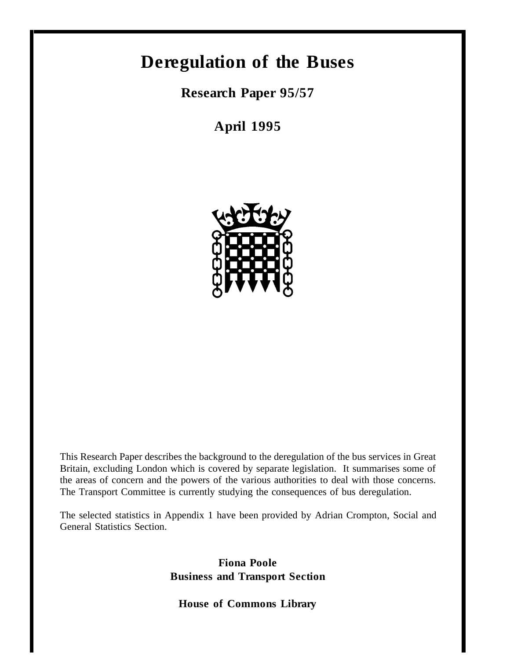# **Deregulation of the Buses**

**Research Paper 95/57**

**April 1995**



This Research Paper describes the background to the deregulation of the bus services in Great Britain, excluding London which is covered by separate legislation. It summarises some of the areas of concern and the powers of the various authorities to deal with those concerns. The Transport Committee is currently studying the consequences of bus deregulation.

The selected statistics in Appendix 1 have been provided by Adrian Crompton, Social and General Statistics Section.

> **Fiona Poole Business and Transport Section**

**House of Commons Library**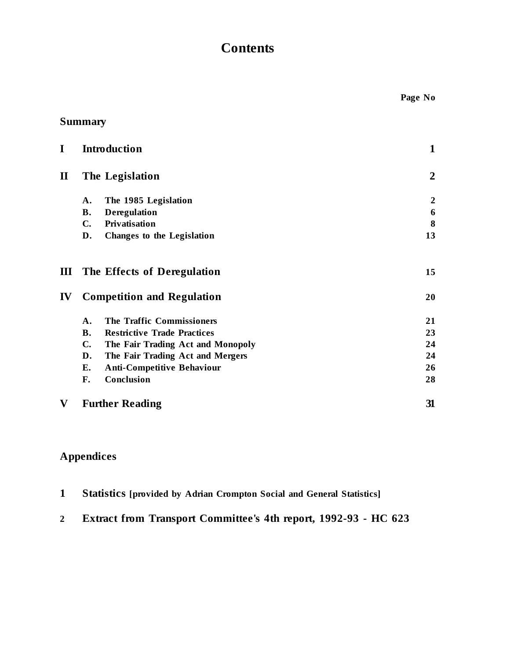# **Contents**

| I              | <b>Introduction</b>             |                                    | 1                |
|----------------|---------------------------------|------------------------------------|------------------|
| $\bf{I}\bf{I}$ | The Legislation                 |                                    | $\overline{2}$   |
|                | A.                              | The 1985 Legislation               | $\boldsymbol{2}$ |
|                | Deregulation<br><b>B.</b>       |                                    | 6                |
|                | Privatisation<br>$\mathbf{C}$ . |                                    | 8                |
|                | D.                              | <b>Changes to the Legislation</b>  | 13               |
| Ш              |                                 | The Effects of Deregulation        | 15               |
| IV             |                                 | <b>Competition and Regulation</b>  | 20               |
|                | A.                              | The Traffic Commissioners          | 21               |
|                | <b>B.</b>                       | <b>Restrictive Trade Practices</b> | 23               |
|                | $\mathbf{C}$ .                  | The Fair Trading Act and Monopoly  | 24               |
|                | D.                              | The Fair Trading Act and Mergers   | 24               |
|                | Е.                              | <b>Anti-Competitive Behaviour</b>  | 26               |
|                | Conclusion<br>F.                |                                    | 28               |
| V              | <b>Further Reading</b>          |                                    | 31               |

# **Appendices**

|  | Statistics [provided by Adrian Crompton Social and General Statistics] |  |  |  |
|--|------------------------------------------------------------------------|--|--|--|
|  |                                                                        |  |  |  |

# **2 Extract from Transport Committee's 4th report, 1992-93 - HC 623**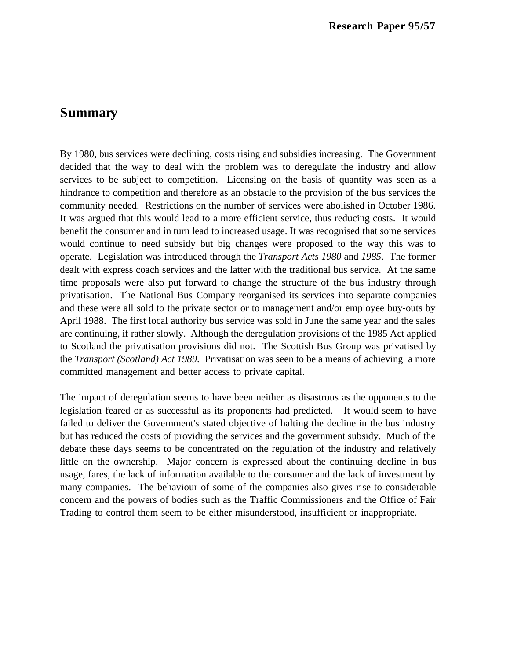## **Summary**

By 1980, bus services were declining, costs rising and subsidies increasing. The Government decided that the way to deal with the problem was to deregulate the industry and allow services to be subject to competition. Licensing on the basis of quantity was seen as a hindrance to competition and therefore as an obstacle to the provision of the bus services the community needed. Restrictions on the number of services were abolished in October 1986. It was argued that this would lead to a more efficient service, thus reducing costs. It would benefit the consumer and in turn lead to increased usage. It was recognised that some services would continue to need subsidy but big changes were proposed to the way this was to operate. Legislation was introduced through the *Transport Acts 1980* and *1985*. The former dealt with express coach services and the latter with the traditional bus service. At the same time proposals were also put forward to change the structure of the bus industry through privatisation. The National Bus Company reorganised its services into separate companies and these were all sold to the private sector or to management and/or employee buy-outs by April 1988. The first local authority bus service was sold in June the same year and the sales are continuing, if rather slowly. Although the deregulation provisions of the 1985 Act applied to Scotland the privatisation provisions did not. The Scottish Bus Group was privatised by the *Transport (Scotland) Act 1989*. Privatisation was seen to be a means of achieving a more committed management and better access to private capital.

The impact of deregulation seems to have been neither as disastrous as the opponents to the legislation feared or as successful as its proponents had predicted. It would seem to have failed to deliver the Government's stated objective of halting the decline in the bus industry but has reduced the costs of providing the services and the government subsidy. Much of the debate these days seems to be concentrated on the regulation of the industry and relatively little on the ownership. Major concern is expressed about the continuing decline in bus usage, fares, the lack of information available to the consumer and the lack of investment by many companies. The behaviour of some of the companies also gives rise to considerable concern and the powers of bodies such as the Traffic Commissioners and the Office of Fair Trading to control them seem to be either misunderstood, insufficient or inappropriate.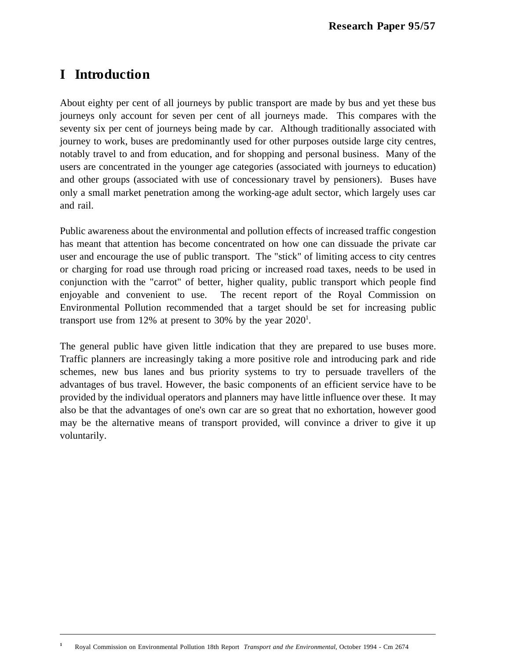# **I Introduction**

 $\overline{a}$ 

About eighty per cent of all journeys by public transport are made by bus and yet these bus journeys only account for seven per cent of all journeys made. This compares with the seventy six per cent of journeys being made by car. Although traditionally associated with journey to work, buses are predominantly used for other purposes outside large city centres, notably travel to and from education, and for shopping and personal business. Many of the users are concentrated in the younger age categories (associated with journeys to education) and other groups (associated with use of concessionary travel by pensioners). Buses have only a small market penetration among the working-age adult sector, which largely uses car and rail.

Public awareness about the environmental and pollution effects of increased traffic congestion has meant that attention has become concentrated on how one can dissuade the private car user and encourage the use of public transport. The "stick" of limiting access to city centres or charging for road use through road pricing or increased road taxes, needs to be used in conjunction with the "carrot" of better, higher quality, public transport which people find enjoyable and convenient to use. The recent report of the Royal Commission on Environmental Pollution recommended that a target should be set for increasing public transport use from 12% at present to 30% by the year  $2020^1$ .

The general public have given little indication that they are prepared to use buses more. Traffic planners are increasingly taking a more positive role and introducing park and ride schemes, new bus lanes and bus priority systems to try to persuade travellers of the advantages of bus travel. However, the basic components of an efficient service have to be provided by the individual operators and planners may have little influence over these. It may also be that the advantages of one's own car are so great that no exhortation, however good may be the alternative means of transport provided, will convince a driver to give it up voluntarily.

**<sup>1</sup>** Royal Commission on Environmental Pollution 18th Report *Transport and the Environmental*, October 1994 - Cm 2674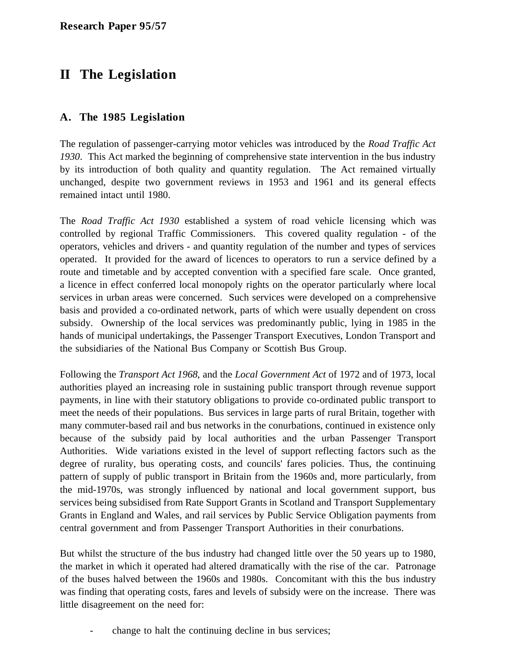# **II The Legislation**

## **A. The 1985 Legislation**

The regulation of passenger-carrying motor vehicles was introduced by the *Road Traffic Act 1930*. This Act marked the beginning of comprehensive state intervention in the bus industry by its introduction of both quality and quantity regulation. The Act remained virtually unchanged, despite two government reviews in 1953 and 1961 and its general effects remained intact until 1980.

The *Road Traffic Act 1930* established a system of road vehicle licensing which was controlled by regional Traffic Commissioners. This covered quality regulation - of the operators, vehicles and drivers - and quantity regulation of the number and types of services operated. It provided for the award of licences to operators to run a service defined by a route and timetable and by accepted convention with a specified fare scale. Once granted, a licence in effect conferred local monopoly rights on the operator particularly where local services in urban areas were concerned. Such services were developed on a comprehensive basis and provided a co-ordinated network, parts of which were usually dependent on cross subsidy. Ownership of the local services was predominantly public, lying in 1985 in the hands of municipal undertakings, the Passenger Transport Executives, London Transport and the subsidiaries of the National Bus Company or Scottish Bus Group.

Following the *Transport Act 1968*, and the *Local Government Act* of 1972 and of 1973, local authorities played an increasing role in sustaining public transport through revenue support payments, in line with their statutory obligations to provide co-ordinated public transport to meet the needs of their populations. Bus services in large parts of rural Britain, together with many commuter-based rail and bus networks in the conurbations, continued in existence only because of the subsidy paid by local authorities and the urban Passenger Transport Authorities. Wide variations existed in the level of support reflecting factors such as the degree of rurality, bus operating costs, and councils' fares policies. Thus, the continuing pattern of supply of public transport in Britain from the 1960s and, more particularly, from the mid-1970s, was strongly influenced by national and local government support, bus services being subsidised from Rate Support Grants in Scotland and Transport Supplementary Grants in England and Wales, and rail services by Public Service Obligation payments from central government and from Passenger Transport Authorities in their conurbations.

But whilst the structure of the bus industry had changed little over the 50 years up to 1980, the market in which it operated had altered dramatically with the rise of the car. Patronage of the buses halved between the 1960s and 1980s. Concomitant with this the bus industry was finding that operating costs, fares and levels of subsidy were on the increase. There was little disagreement on the need for:

- change to halt the continuing decline in bus services;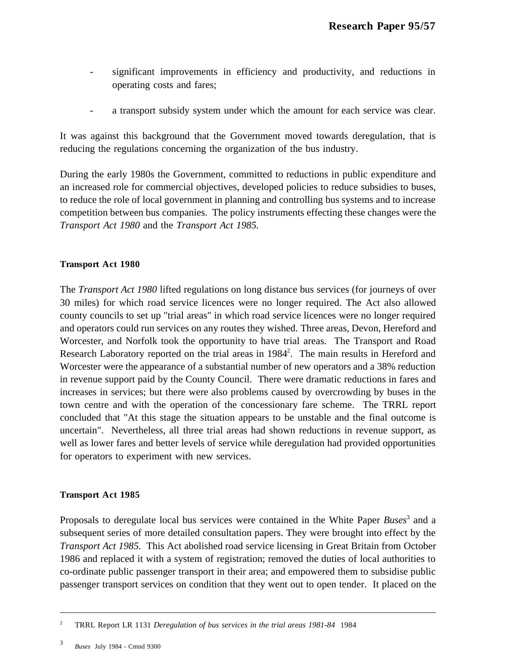- significant improvements in efficiency and productivity, and reductions in operating costs and fares;
- a transport subsidy system under which the amount for each service was clear.

It was against this background that the Government moved towards deregulation, that is reducing the regulations concerning the organization of the bus industry.

During the early 1980s the Government, committed to reductions in public expenditure and an increased role for commercial objectives, developed policies to reduce subsidies to buses, to reduce the role of local government in planning and controlling bus systems and to increase competition between bus companies. The policy instruments effecting these changes were the *Transport Act 1980* and the *Transport Act 1985.*

### **Transport Act 1980**

The *Transport Act 1980* lifted regulations on long distance bus services (for journeys of over 30 miles) for which road service licences were no longer required. The Act also allowed county councils to set up "trial areas" in which road service licences were no longer required and operators could run services on any routes they wished. Three areas, Devon, Hereford and Worcester, and Norfolk took the opportunity to have trial areas. The Transport and Road Research Laboratory reported on the trial areas in 1984<sup>2</sup>. The main results in Hereford and Worcester were the appearance of a substantial number of new operators and a 38% reduction in revenue support paid by the County Council. There were dramatic reductions in fares and increases in services; but there were also problems caused by overcrowding by buses in the town centre and with the operation of the concessionary fare scheme. The TRRL report concluded that "At this stage the situation appears to be unstable and the final outcome is uncertain". Nevertheless, all three trial areas had shown reductions in revenue support, as well as lower fares and better levels of service while deregulation had provided opportunities for operators to experiment with new services.

#### **Transport Act 1985**

Proposals to deregulate local bus services were contained in the White Paper *Buses*<sup>3</sup> and a subsequent series of more detailed consultation papers. They were brought into effect by the *Transport Act 1985*. This Act abolished road service licensing in Great Britain from October 1986 and replaced it with a system of registration; removed the duties of local authorities to co-ordinate public passenger transport in their area; and empowered them to subsidise public passenger transport services on condition that they went out to open tender. It placed on the

<sup>2</sup> TRRL Report LR 1131 *Deregulation of bus services in the trial areas 1981-84* 1984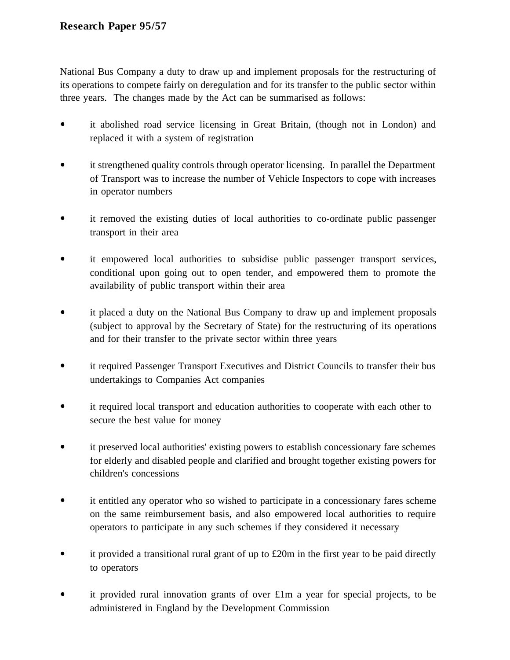National Bus Company a duty to draw up and implement proposals for the restructuring of its operations to compete fairly on deregulation and for its transfer to the public sector within three years. The changes made by the Act can be summarised as follows:

- $\bullet$ it abolished road service licensing in Great Britain, (though not in London) and replaced it with a system of registration
- it strengthened quality controls through operator licensing. In parallel the Department of Transport was to increase the number of Vehicle Inspectors to cope with increases in operator numbers
- it removed the existing duties of local authorities to co-ordinate public passenger  $\bullet$ transport in their area
- it empowered local authorities to subsidise public passenger transport services, conditional upon going out to open tender, and empowered them to promote the availability of public transport within their area
- it placed a duty on the National Bus Company to draw up and implement proposals (subject to approval by the Secretary of State) for the restructuring of its operations and for their transfer to the private sector within three years
- $\bullet$ it required Passenger Transport Executives and District Councils to transfer their bus undertakings to Companies Act companies
- $\bullet$ it required local transport and education authorities to cooperate with each other to secure the best value for money
- $\bullet$ it preserved local authorities' existing powers to establish concessionary fare schemes for elderly and disabled people and clarified and brought together existing powers for children's concessions
- $\bullet$ it entitled any operator who so wished to participate in a concessionary fares scheme on the same reimbursement basis, and also empowered local authorities to require operators to participate in any such schemes if they considered it necessary
- $\bullet$ it provided a transitional rural grant of up to £20m in the first year to be paid directly to operators
- it provided rural innovation grants of over  $\pounds$ 1m a year for special projects, to be  $\bullet$ administered in England by the Development Commission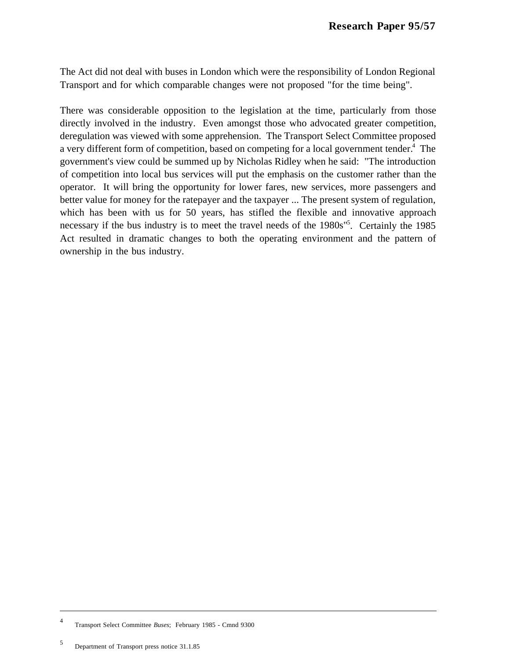The Act did not deal with buses in London which were the responsibility of London Regional Transport and for which comparable changes were not proposed "for the time being".

There was considerable opposition to the legislation at the time, particularly from those directly involved in the industry. Even amongst those who advocated greater competition, deregulation was viewed with some apprehension. The Transport Select Committee proposed a very different form of competition, based on competing for a local government tender.<sup>4</sup> The government's view could be summed up by Nicholas Ridley when he said: "The introduction of competition into local bus services will put the emphasis on the customer rather than the operator. It will bring the opportunity for lower fares, new services, more passengers and better value for money for the ratepayer and the taxpayer ... The present system of regulation, which has been with us for 50 years, has stifled the flexible and innovative approach necessary if the bus industry is to meet the travel needs of the 1980s<sup>15</sup>. Certainly the 1985 Act resulted in dramatic changes to both the operating environment and the pattern of ownership in the bus industry.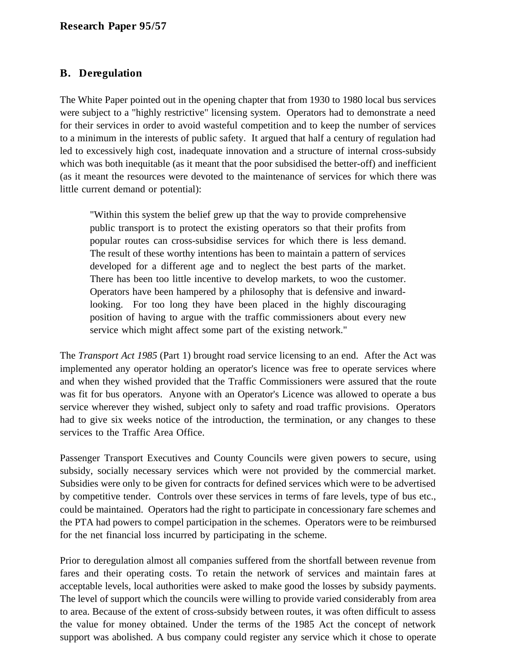## **B. Deregulation**

The White Paper pointed out in the opening chapter that from 1930 to 1980 local bus services were subject to a "highly restrictive" licensing system. Operators had to demonstrate a need for their services in order to avoid wasteful competition and to keep the number of services to a minimum in the interests of public safety. It argued that half a century of regulation had led to excessively high cost, inadequate innovation and a structure of internal cross-subsidy which was both inequitable (as it meant that the poor subsidised the better-off) and inefficient (as it meant the resources were devoted to the maintenance of services for which there was little current demand or potential):

"Within this system the belief grew up that the way to provide comprehensive public transport is to protect the existing operators so that their profits from popular routes can cross-subsidise services for which there is less demand. The result of these worthy intentions has been to maintain a pattern of services developed for a different age and to neglect the best parts of the market. There has been too little incentive to develop markets, to woo the customer. Operators have been hampered by a philosophy that is defensive and inwardlooking. For too long they have been placed in the highly discouraging position of having to argue with the traffic commissioners about every new service which might affect some part of the existing network."

The *Transport Act 1985* (Part 1) brought road service licensing to an end. After the Act was implemented any operator holding an operator's licence was free to operate services where and when they wished provided that the Traffic Commissioners were assured that the route was fit for bus operators. Anyone with an Operator's Licence was allowed to operate a bus service wherever they wished, subject only to safety and road traffic provisions. Operators had to give six weeks notice of the introduction, the termination, or any changes to these services to the Traffic Area Office.

Passenger Transport Executives and County Councils were given powers to secure, using subsidy, socially necessary services which were not provided by the commercial market. Subsidies were only to be given for contracts for defined services which were to be advertised by competitive tender. Controls over these services in terms of fare levels, type of bus etc., could be maintained. Operators had the right to participate in concessionary fare schemes and the PTA had powers to compel participation in the schemes. Operators were to be reimbursed for the net financial loss incurred by participating in the scheme.

Prior to deregulation almost all companies suffered from the shortfall between revenue from fares and their operating costs. To retain the network of services and maintain fares at acceptable levels, local authorities were asked to make good the losses by subsidy payments. The level of support which the councils were willing to provide varied considerably from area to area. Because of the extent of cross-subsidy between routes, it was often difficult to assess the value for money obtained. Under the terms of the 1985 Act the concept of network support was abolished. A bus company could register any service which it chose to operate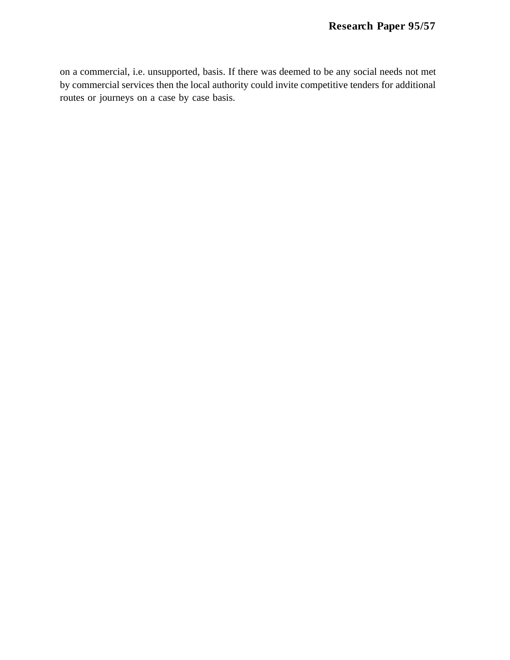on a commercial, i.e. unsupported, basis. If there was deemed to be any social needs not met by commercial services then the local authority could invite competitive tenders for additional routes or journeys on a case by case basis.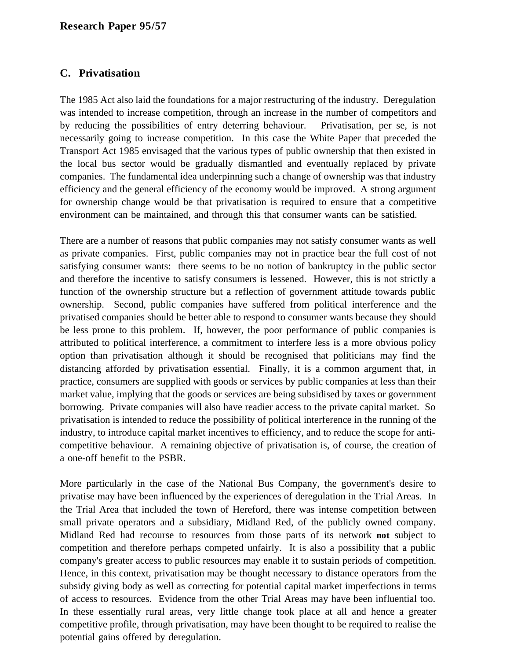## **C. Privatisation**

The 1985 Act also laid the foundations for a major restructuring of the industry. Deregulation was intended to increase competition, through an increase in the number of competitors and by reducing the possibilities of entry deterring behaviour. Privatisation, per se, is not necessarily going to increase competition. In this case the White Paper that preceded the Transport Act 1985 envisaged that the various types of public ownership that then existed in the local bus sector would be gradually dismantled and eventually replaced by private companies. The fundamental idea underpinning such a change of ownership was that industry efficiency and the general efficiency of the economy would be improved. A strong argument for ownership change would be that privatisation is required to ensure that a competitive environment can be maintained, and through this that consumer wants can be satisfied.

There are a number of reasons that public companies may not satisfy consumer wants as well as private companies. First, public companies may not in practice bear the full cost of not satisfying consumer wants: there seems to be no notion of bankruptcy in the public sector and therefore the incentive to satisfy consumers is lessened. However, this is not strictly a function of the ownership structure but a reflection of government attitude towards public ownership. Second, public companies have suffered from political interference and the privatised companies should be better able to respond to consumer wants because they should be less prone to this problem. If, however, the poor performance of public companies is attributed to political interference, a commitment to interfere less is a more obvious policy option than privatisation although it should be recognised that politicians may find the distancing afforded by privatisation essential. Finally, it is a common argument that, in practice, consumers are supplied with goods or services by public companies at less than their market value, implying that the goods or services are being subsidised by taxes or government borrowing. Private companies will also have readier access to the private capital market. So privatisation is intended to reduce the possibility of political interference in the running of the industry, to introduce capital market incentives to efficiency, and to reduce the scope for anticompetitive behaviour. A remaining objective of privatisation is, of course, the creation of a one-off benefit to the PSBR.

More particularly in the case of the National Bus Company, the government's desire to privatise may have been influenced by the experiences of deregulation in the Trial Areas. In the Trial Area that included the town of Hereford, there was intense competition between small private operators and a subsidiary, Midland Red, of the publicly owned company. Midland Red had recourse to resources from those parts of its network **not** subject to competition and therefore perhaps competed unfairly. It is also a possibility that a public company's greater access to public resources may enable it to sustain periods of competition. Hence, in this context, privatisation may be thought necessary to distance operators from the subsidy giving body as well as correcting for potential capital market imperfections in terms of access to resources. Evidence from the other Trial Areas may have been influential too. In these essentially rural areas, very little change took place at all and hence a greater competitive profile, through privatisation, may have been thought to be required to realise the potential gains offered by deregulation.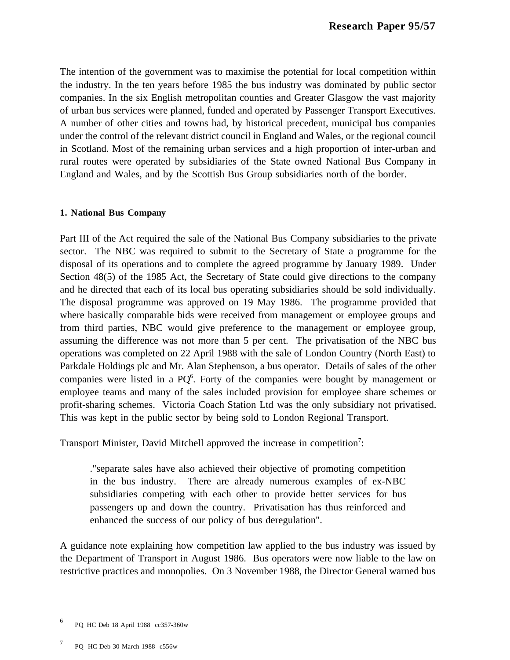The intention of the government was to maximise the potential for local competition within the industry. In the ten years before 1985 the bus industry was dominated by public sector companies. In the six English metropolitan counties and Greater Glasgow the vast majority of urban bus services were planned, funded and operated by Passenger Transport Executives. A number of other cities and towns had, by historical precedent, municipal bus companies under the control of the relevant district council in England and Wales, or the regional council in Scotland. Most of the remaining urban services and a high proportion of inter-urban and rural routes were operated by subsidiaries of the State owned National Bus Company in England and Wales, and by the Scottish Bus Group subsidiaries north of the border.

### **1. National Bus Company**

Part III of the Act required the sale of the National Bus Company subsidiaries to the private sector. The NBC was required to submit to the Secretary of State a programme for the disposal of its operations and to complete the agreed programme by January 1989. Under Section 48(5) of the 1985 Act, the Secretary of State could give directions to the company and he directed that each of its local bus operating subsidiaries should be sold individually. The disposal programme was approved on 19 May 1986. The programme provided that where basically comparable bids were received from management or employee groups and from third parties, NBC would give preference to the management or employee group, assuming the difference was not more than 5 per cent. The privatisation of the NBC bus operations was completed on 22 April 1988 with the sale of London Country (North East) to Parkdale Holdings plc and Mr. Alan Stephenson, a bus operator. Details of sales of the other companies were listed in a  $PQ^6$ . Forty of the companies were bought by management or employee teams and many of the sales included provision for employee share schemes or profit-sharing schemes. Victoria Coach Station Ltd was the only subsidiary not privatised. This was kept in the public sector by being sold to London Regional Transport.

Transport Minister, David Mitchell approved the increase in competition<sup>7</sup>:

."separate sales have also achieved their objective of promoting competition in the bus industry. There are already numerous examples of ex-NBC subsidiaries competing with each other to provide better services for bus passengers up and down the country. Privatisation has thus reinforced and enhanced the success of our policy of bus deregulation".

A guidance note explaining how competition law applied to the bus industry was issued by the Department of Transport in August 1986. Bus operators were now liable to the law on restrictive practices and monopolies. On 3 November 1988, the Director General warned bus

<sup>6</sup> PQ HC Deb 18 April 1988 cc357-360w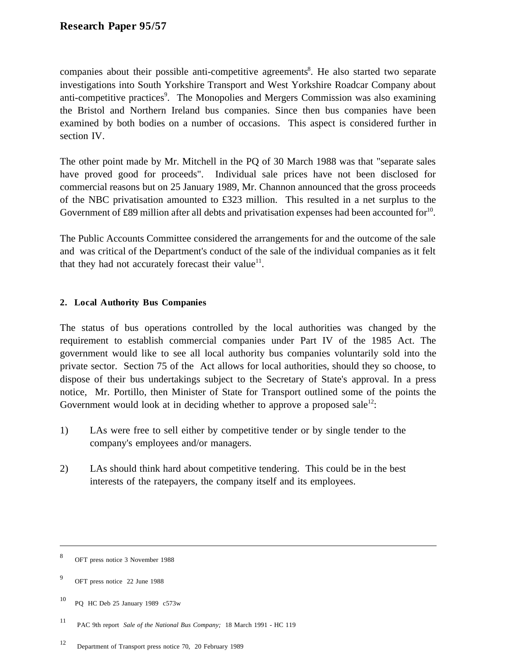companies about their possible anti-competitive agreements<sup>8</sup>. He also started two separate investigations into South Yorkshire Transport and West Yorkshire Roadcar Company about anti-competitive practices<sup>9</sup>. The Monopolies and Mergers Commission was also examining the Bristol and Northern Ireland bus companies. Since then bus companies have been examined by both bodies on a number of occasions. This aspect is considered further in section IV.

The other point made by Mr. Mitchell in the PQ of 30 March 1988 was that "separate sales have proved good for proceeds". Individual sale prices have not been disclosed for commercial reasons but on 25 January 1989, Mr. Channon announced that the gross proceeds of the NBC privatisation amounted to £323 million. This resulted in a net surplus to the Government of £89 million after all debts and privatisation expenses had been accounted for $^{10}$ .

The Public Accounts Committee considered the arrangements for and the outcome of the sale and was critical of the Department's conduct of the sale of the individual companies as it felt that they had not accurately forecast their value<sup>11</sup>.

## **2. Local Authority Bus Companies**

The status of bus operations controlled by the local authorities was changed by the requirement to establish commercial companies under Part IV of the 1985 Act. The government would like to see all local authority bus companies voluntarily sold into the private sector. Section 75 of the Act allows for local authorities, should they so choose, to dispose of their bus undertakings subject to the Secretary of State's approval. In a press notice, Mr. Portillo, then Minister of State for Transport outlined some of the points the Government would look at in deciding whether to approve a proposed sale<sup>12</sup>:

- 1) LAs were free to sell either by competitive tender or by single tender to the company's employees and/or managers.
- 2) LAs should think hard about competitive tendering. This could be in the best interests of the ratepayers, the company itself and its employees.

 $\overline{\phantom{a}}$ 

<sup>8</sup> OFT press notice 3 November 1988

<sup>9</sup> OFT press notice 22 June 1988

<sup>10</sup> PQ HC Deb 25 January 1989 c573w

<sup>11</sup> PAC 9th report *Sale of the National Bus Company;* 18 March 1991 - HC 119

<sup>12</sup> Department of Transport press notice 70, 20 February 1989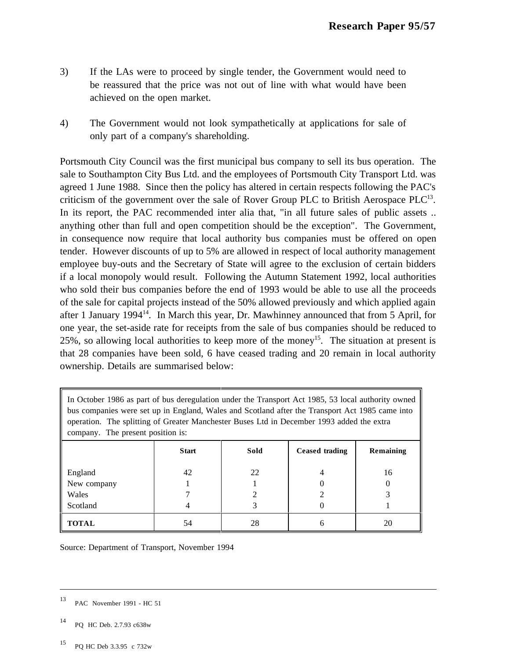- 3) If the LAs were to proceed by single tender, the Government would need to be reassured that the price was not out of line with what would have been achieved on the open market.
- 4) The Government would not look sympathetically at applications for sale of only part of a company's shareholding.

Portsmouth City Council was the first municipal bus company to sell its bus operation. The sale to Southampton City Bus Ltd. and the employees of Portsmouth City Transport Ltd. was agreed 1 June 1988. Since then the policy has altered in certain respects following the PAC's criticism of the government over the sale of Rover Group PLC to British Aerospace  $PLC^{13}$ . In its report, the PAC recommended inter alia that, "in all future sales of public assets .. anything other than full and open competition should be the exception". The Government, in consequence now require that local authority bus companies must be offered on open tender. However discounts of up to 5% are allowed in respect of local authority management employee buy-outs and the Secretary of State will agree to the exclusion of certain bidders if a local monopoly would result. Following the Autumn Statement 1992, local authorities who sold their bus companies before the end of 1993 would be able to use all the proceeds of the sale for capital projects instead of the 50% allowed previously and which applied again after 1 January 1994 $^{14}$ . In March this year, Dr. Mawhinney announced that from 5 April, for one year, the set-aside rate for receipts from the sale of bus companies should be reduced to 25%, so allowing local authorities to keep more of the money<sup>15</sup>. The situation at present is that 28 companies have been sold, 6 have ceased trading and 20 remain in local authority ownership. Details are summarised below:

| In October 1986 as part of bus deregulation under the Transport Act 1985, 53 local authority owned<br>bus companies were set up in England, Wales and Scotland after the Transport Act 1985 came into<br>operation. The splitting of Greater Manchester Buses Ltd in December 1993 added the extra<br>company. The present position is: |              |      |                |           |  |  |  |  |
|-----------------------------------------------------------------------------------------------------------------------------------------------------------------------------------------------------------------------------------------------------------------------------------------------------------------------------------------|--------------|------|----------------|-----------|--|--|--|--|
|                                                                                                                                                                                                                                                                                                                                         | <b>Start</b> | Sold | Ceased trading | Remaining |  |  |  |  |
| England<br>New company<br>Wales<br>Scotland                                                                                                                                                                                                                                                                                             | 42           | 22   | 4              | 16        |  |  |  |  |
| <b>TOTAL</b>                                                                                                                                                                                                                                                                                                                            | 54           | 28   | h              | 20        |  |  |  |  |

Source: Department of Transport, November 1994

- <sup>14</sup> PQ HC Deb. 2.7.93 c638w
- <sup>15</sup> PQ HC Deb 3.3.95 c 732w

<sup>13</sup> PAC November 1991 - HC 51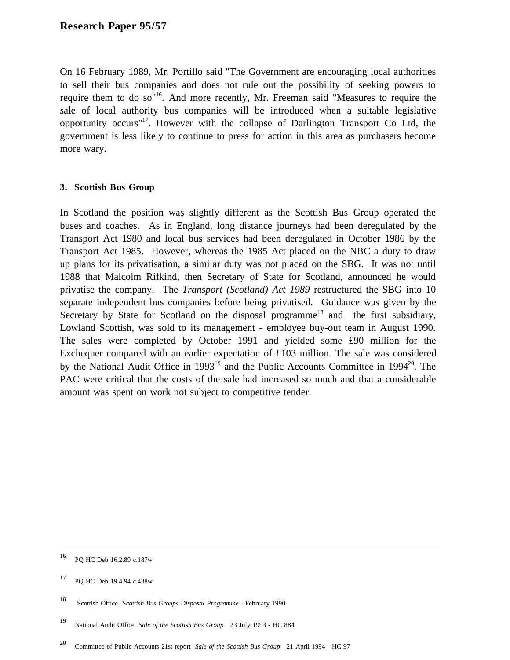On 16 February 1989, Mr. Portillo said "The Government are encouraging local authorities to sell their bus companies and does not rule out the possibility of seeking powers to require them to do so"16. And more recently, Mr. Freeman said "Measures to require the sale of local authority bus companies will be introduced when a suitable legislative opportunity occurs"17. However with the collapse of Darlington Transport Co Ltd, the government is less likely to continue to press for action in this area as purchasers become more wary.

### **3. Scottish Bus Group**

In Scotland the position was slightly different as the Scottish Bus Group operated the buses and coaches. As in England, long distance journeys had been deregulated by the Transport Act 1980 and local bus services had been deregulated in October 1986 by the Transport Act 1985. However, whereas the 1985 Act placed on the NBC a duty to draw up plans for its privatisation, a similar duty was not placed on the SBG. It was not until 1988 that Malcolm Rifkind, then Secretary of State for Scotland, announced he would privatise the company. The *Transport (Scotland) Act 1989* restructured the SBG into 10 separate independent bus companies before being privatised. Guidance was given by the Secretary by State for Scotland on the disposal programme<sup>18</sup> and the first subsidiary, Lowland Scottish, was sold to its management - employee buy-out team in August 1990. The sales were completed by October 1991 and yielded some £90 million for the Exchequer compared with an earlier expectation of £103 million. The sale was considered by the National Audit Office in 1993<sup>19</sup> and the Public Accounts Committee in 1994<sup>20</sup>. The PAC were critical that the costs of the sale had increased so much and that a considerable amount was spent on work not subject to competitive tender.

<sup>16</sup> PQ HC Deb 16.2.89 c.187w

<sup>17</sup> PQ HC Deb 19.4.94 c.438w

<sup>18</sup> Scottish Office S*cottish Bus Groups Disposal Programme* - February 1990

<sup>19</sup> National Audit Office *Sale of the Scottish Bus Group* 23 July 1993 - HC 884

<sup>20</sup> Committee of Public Accounts 21st report *Sale of the Scottish Bus Group* 21 April 1994 - HC 97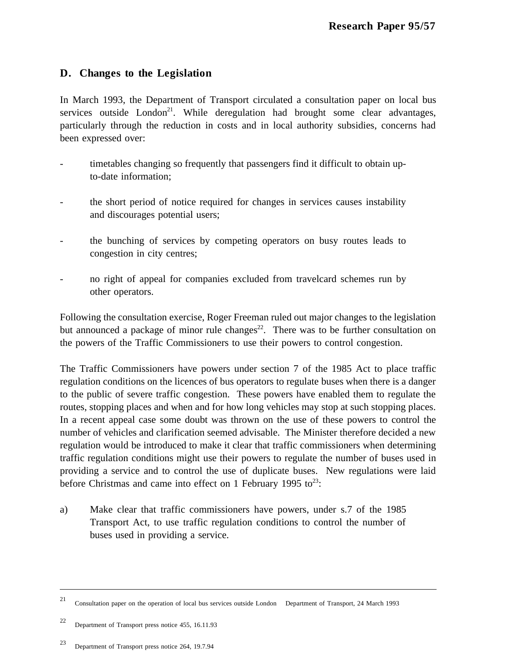## **D. Changes to the Legislation**

In March 1993, the Department of Transport circulated a consultation paper on local bus services outside  $London^{21}$ . While deregulation had brought some clear advantages, particularly through the reduction in costs and in local authority subsidies, concerns had been expressed over:

- timetables changing so frequently that passengers find it difficult to obtain upto-date information;
- the short period of notice required for changes in services causes instability and discourages potential users;
- the bunching of services by competing operators on busy routes leads to congestion in city centres;
- no right of appeal for companies excluded from travelcard schemes run by other operators.

Following the consultation exercise, Roger Freeman ruled out major changes to the legislation but announced a package of minor rule changes<sup>22</sup>. There was to be further consultation on the powers of the Traffic Commissioners to use their powers to control congestion.

The Traffic Commissioners have powers under section 7 of the 1985 Act to place traffic regulation conditions on the licences of bus operators to regulate buses when there is a danger to the public of severe traffic congestion. These powers have enabled them to regulate the routes, stopping places and when and for how long vehicles may stop at such stopping places. In a recent appeal case some doubt was thrown on the use of these powers to control the number of vehicles and clarification seemed advisable. The Minister therefore decided a new regulation would be introduced to make it clear that traffic commissioners when determining traffic regulation conditions might use their powers to regulate the number of buses used in providing a service and to control the use of duplicate buses. New regulations were laid before Christmas and came into effect on 1 February 1995 to $^{23}$ :

a) Make clear that traffic commissioners have powers, under s.7 of the 1985 Transport Act, to use traffic regulation conditions to control the number of buses used in providing a service.

<sup>21</sup> Consultation paper on the operation of local bus services outside London Department of Transport, 24 March 1993

<sup>22</sup> Department of Transport press notice 455, 16.11.93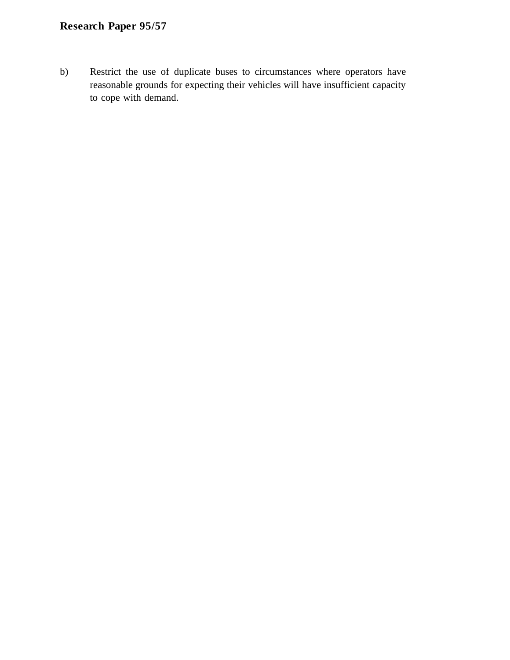b) Restrict the use of duplicate buses to circumstances where operators have reasonable grounds for expecting their vehicles will have insufficient capacity to cope with demand.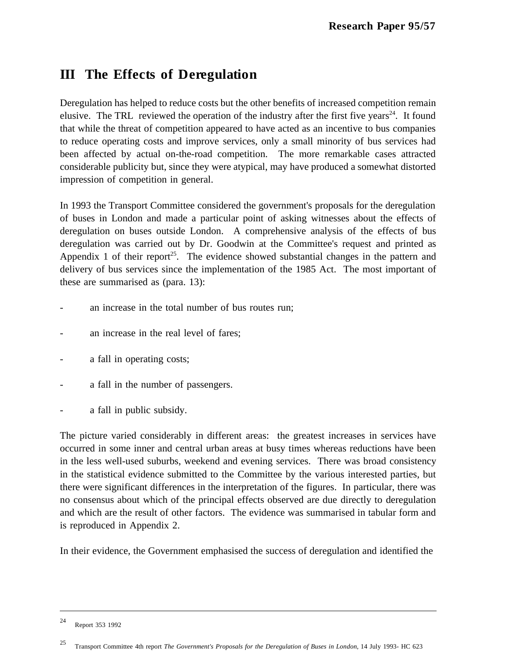# **III The Effects of Deregulation**

Deregulation has helped to reduce costs but the other benefits of increased competition remain elusive. The TRL reviewed the operation of the industry after the first five years<sup>24</sup>. It found that while the threat of competition appeared to have acted as an incentive to bus companies to reduce operating costs and improve services, only a small minority of bus services had been affected by actual on-the-road competition. The more remarkable cases attracted considerable publicity but, since they were atypical, may have produced a somewhat distorted impression of competition in general.

In 1993 the Transport Committee considered the government's proposals for the deregulation of buses in London and made a particular point of asking witnesses about the effects of deregulation on buses outside London. A comprehensive analysis of the effects of bus deregulation was carried out by Dr. Goodwin at the Committee's request and printed as Appendix 1 of their report<sup>25</sup>. The evidence showed substantial changes in the pattern and delivery of bus services since the implementation of the 1985 Act. The most important of these are summarised as (para. 13):

- an increase in the total number of bus routes run;
- an increase in the real level of fares;
- a fall in operating costs;
- a fall in the number of passengers.
- a fall in public subsidy.

The picture varied considerably in different areas: the greatest increases in services have occurred in some inner and central urban areas at busy times whereas reductions have been in the less well-used suburbs, weekend and evening services. There was broad consistency in the statistical evidence submitted to the Committee by the various interested parties, but there were significant differences in the interpretation of the figures. In particular, there was no consensus about which of the principal effects observed are due directly to deregulation and which are the result of other factors. The evidence was summarised in tabular form and is reproduced in Appendix 2.

In their evidence, the Government emphasised the success of deregulation and identified the

<sup>24</sup> Report 353 1992

<sup>25</sup> Transport Committee 4th report *The Government's Proposals for the Deregulation of Buses in London*, 14 July 1993- HC 623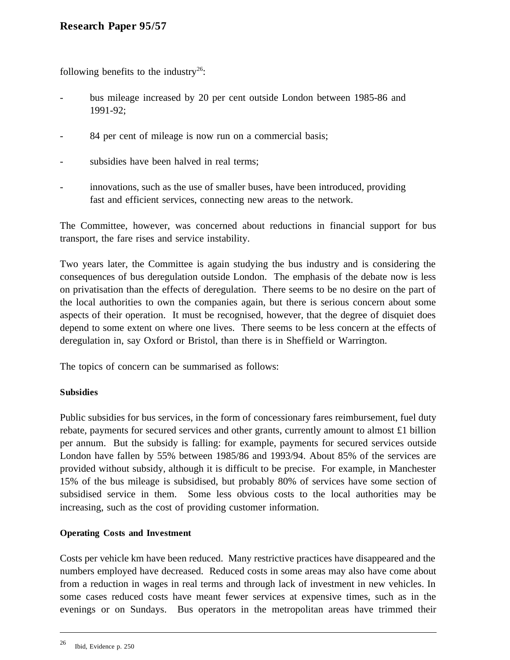following benefits to the industry<sup>26</sup>:

- bus mileage increased by 20 per cent outside London between 1985-86 and 1991-92;
- 84 per cent of mileage is now run on a commercial basis;
- subsidies have been halved in real terms;
- innovations, such as the use of smaller buses, have been introduced, providing fast and efficient services, connecting new areas to the network.

The Committee, however, was concerned about reductions in financial support for bus transport, the fare rises and service instability.

Two years later, the Committee is again studying the bus industry and is considering the consequences of bus deregulation outside London. The emphasis of the debate now is less on privatisation than the effects of deregulation. There seems to be no desire on the part of the local authorities to own the companies again, but there is serious concern about some aspects of their operation. It must be recognised, however, that the degree of disquiet does depend to some extent on where one lives. There seems to be less concern at the effects of deregulation in, say Oxford or Bristol, than there is in Sheffield or Warrington.

The topics of concern can be summarised as follows:

### **Subsidies**

Public subsidies for bus services, in the form of concessionary fares reimbursement, fuel duty rebate, payments for secured services and other grants, currently amount to almost £1 billion per annum. But the subsidy is falling: for example, payments for secured services outside London have fallen by 55% between 1985/86 and 1993/94. About 85% of the services are provided without subsidy, although it is difficult to be precise. For example, in Manchester 15% of the bus mileage is subsidised, but probably 80% of services have some section of subsidised service in them. Some less obvious costs to the local authorities may be increasing, such as the cost of providing customer information.

### **Operating Costs and Investment**

Costs per vehicle km have been reduced. Many restrictive practices have disappeared and the numbers employed have decreased. Reduced costs in some areas may also have come about from a reduction in wages in real terms and through lack of investment in new vehicles. In some cases reduced costs have meant fewer services at expensive times, such as in the evenings or on Sundays. Bus operators in the metropolitan areas have trimmed their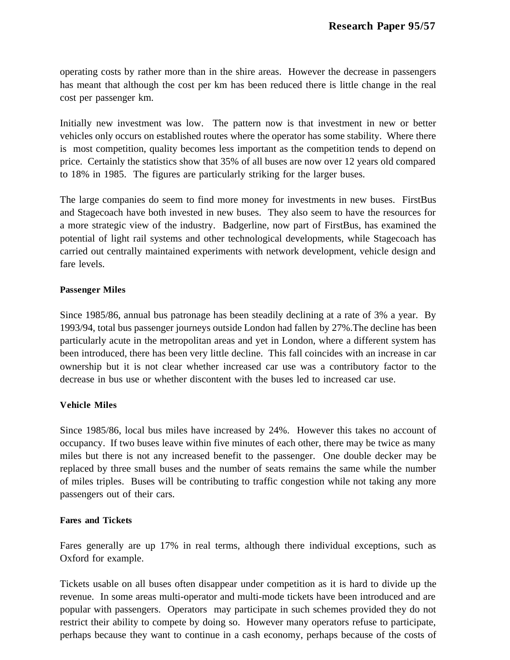operating costs by rather more than in the shire areas. However the decrease in passengers has meant that although the cost per km has been reduced there is little change in the real cost per passenger km.

Initially new investment was low. The pattern now is that investment in new or better vehicles only occurs on established routes where the operator has some stability. Where there is most competition, quality becomes less important as the competition tends to depend on price. Certainly the statistics show that 35% of all buses are now over 12 years old compared to 18% in 1985. The figures are particularly striking for the larger buses.

The large companies do seem to find more money for investments in new buses. FirstBus and Stagecoach have both invested in new buses. They also seem to have the resources for a more strategic view of the industry. Badgerline, now part of FirstBus, has examined the potential of light rail systems and other technological developments, while Stagecoach has carried out centrally maintained experiments with network development, vehicle design and fare levels.

### **Passenger Miles**

Since 1985/86, annual bus patronage has been steadily declining at a rate of 3% a year. By 1993/94, total bus passenger journeys outside London had fallen by 27%.The decline has been particularly acute in the metropolitan areas and yet in London, where a different system has been introduced, there has been very little decline. This fall coincides with an increase in car ownership but it is not clear whether increased car use was a contributory factor to the decrease in bus use or whether discontent with the buses led to increased car use.

## **Vehicle Miles**

Since 1985/86, local bus miles have increased by 24%. However this takes no account of occupancy. If two buses leave within five minutes of each other, there may be twice as many miles but there is not any increased benefit to the passenger. One double decker may be replaced by three small buses and the number of seats remains the same while the number of miles triples. Buses will be contributing to traffic congestion while not taking any more passengers out of their cars.

### **Fares and Tickets**

Fares generally are up 17% in real terms, although there individual exceptions, such as Oxford for example.

Tickets usable on all buses often disappear under competition as it is hard to divide up the revenue. In some areas multi-operator and multi-mode tickets have been introduced and are popular with passengers. Operators may participate in such schemes provided they do not restrict their ability to compete by doing so. However many operators refuse to participate, perhaps because they want to continue in a cash economy, perhaps because of the costs of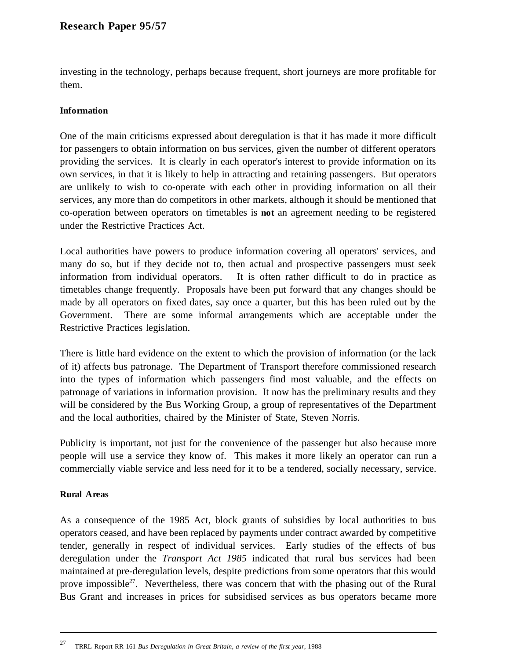investing in the technology, perhaps because frequent, short journeys are more profitable for them.

## **Information**

One of the main criticisms expressed about deregulation is that it has made it more difficult for passengers to obtain information on bus services, given the number of different operators providing the services. It is clearly in each operator's interest to provide information on its own services, in that it is likely to help in attracting and retaining passengers. But operators are unlikely to wish to co-operate with each other in providing information on all their services, any more than do competitors in other markets, although it should be mentioned that co-operation between operators on timetables is **not** an agreement needing to be registered under the Restrictive Practices Act.

Local authorities have powers to produce information covering all operators' services, and many do so, but if they decide not to, then actual and prospective passengers must seek information from individual operators. It is often rather difficult to do in practice as timetables change frequently. Proposals have been put forward that any changes should be made by all operators on fixed dates, say once a quarter, but this has been ruled out by the Government. There are some informal arrangements which are acceptable under the Restrictive Practices legislation.

There is little hard evidence on the extent to which the provision of information (or the lack of it) affects bus patronage. The Department of Transport therefore commissioned research into the types of information which passengers find most valuable, and the effects on patronage of variations in information provision. It now has the preliminary results and they will be considered by the Bus Working Group, a group of representatives of the Department and the local authorities, chaired by the Minister of State, Steven Norris.

Publicity is important, not just for the convenience of the passenger but also because more people will use a service they know of. This makes it more likely an operator can run a commercially viable service and less need for it to be a tendered, socially necessary, service.

## **Rural Areas**

 $\overline{a}$ 

As a consequence of the 1985 Act, block grants of subsidies by local authorities to bus operators ceased, and have been replaced by payments under contract awarded by competitive tender, generally in respect of individual services. Early studies of the effects of bus deregulation under the *Transport Act 1985* indicated that rural bus services had been maintained at pre-deregulation levels, despite predictions from some operators that this would prove impossible<sup>27</sup>. Nevertheless, there was concern that with the phasing out of the Rural Bus Grant and increases in prices for subsidised services as bus operators became more

<sup>27</sup> TRRL Report RR 161 *Bus Deregulation in Great Britain, a review of the first year*, 1988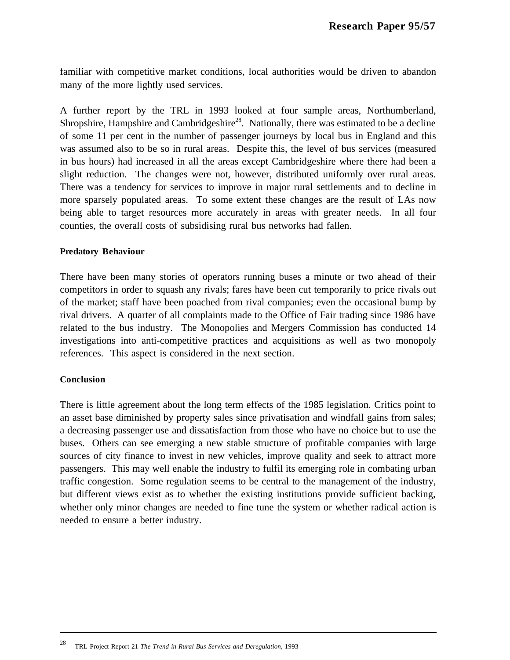familiar with competitive market conditions, local authorities would be driven to abandon many of the more lightly used services.

A further report by the TRL in 1993 looked at four sample areas, Northumberland, Shropshire, Hampshire and Cambridgeshire<sup>28</sup>. Nationally, there was estimated to be a decline of some 11 per cent in the number of passenger journeys by local bus in England and this was assumed also to be so in rural areas. Despite this, the level of bus services (measured in bus hours) had increased in all the areas except Cambridgeshire where there had been a slight reduction. The changes were not, however, distributed uniformly over rural areas. There was a tendency for services to improve in major rural settlements and to decline in more sparsely populated areas. To some extent these changes are the result of LAs now being able to target resources more accurately in areas with greater needs. In all four counties, the overall costs of subsidising rural bus networks had fallen.

### **Predatory Behaviour**

There have been many stories of operators running buses a minute or two ahead of their competitors in order to squash any rivals; fares have been cut temporarily to price rivals out of the market; staff have been poached from rival companies; even the occasional bump by rival drivers. A quarter of all complaints made to the Office of Fair trading since 1986 have related to the bus industry. The Monopolies and Mergers Commission has conducted 14 investigations into anti-competitive practices and acquisitions as well as two monopoly references. This aspect is considered in the next section.

### **Conclusion**

 $\overline{a}$ 

There is little agreement about the long term effects of the 1985 legislation. Critics point to an asset base diminished by property sales since privatisation and windfall gains from sales; a decreasing passenger use and dissatisfaction from those who have no choice but to use the buses. Others can see emerging a new stable structure of profitable companies with large sources of city finance to invest in new vehicles, improve quality and seek to attract more passengers. This may well enable the industry to fulfil its emerging role in combating urban traffic congestion. Some regulation seems to be central to the management of the industry, but different views exist as to whether the existing institutions provide sufficient backing, whether only minor changes are needed to fine tune the system or whether radical action is needed to ensure a better industry.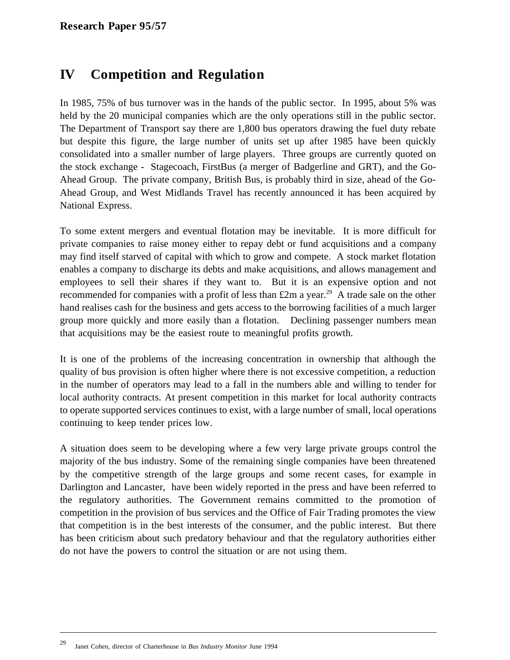# **IV Competition and Regulation**

In 1985, 75% of bus turnover was in the hands of the public sector. In 1995, about 5% was held by the 20 municipal companies which are the only operations still in the public sector. The Department of Transport say there are 1,800 bus operators drawing the fuel duty rebate but despite this figure, the large number of units set up after 1985 have been quickly consolidated into a smaller number of large players. Three groups are currently quoted on the stock exchange - Stagecoach, FirstBus (a merger of Badgerline and GRT), and the Go-Ahead Group. The private company, British Bus, is probably third in size, ahead of the Go-Ahead Group, and West Midlands Travel has recently announced it has been acquired by National Express.

To some extent mergers and eventual flotation may be inevitable. It is more difficult for private companies to raise money either to repay debt or fund acquisitions and a company may find itself starved of capital with which to grow and compete. A stock market flotation enables a company to discharge its debts and make acquisitions, and allows management and employees to sell their shares if they want to. But it is an expensive option and not recommended for companies with a profit of less than  $\pounds 2m$  a year.<sup>29</sup> A trade sale on the other hand realises cash for the business and gets access to the borrowing facilities of a much larger group more quickly and more easily than a flotation. Declining passenger numbers mean that acquisitions may be the easiest route to meaningful profits growth.

It is one of the problems of the increasing concentration in ownership that although the quality of bus provision is often higher where there is not excessive competition, a reduction in the number of operators may lead to a fall in the numbers able and willing to tender for local authority contracts. At present competition in this market for local authority contracts to operate supported services continues to exist, with a large number of small, local operations continuing to keep tender prices low.

A situation does seem to be developing where a few very large private groups control the majority of the bus industry. Some of the remaining single companies have been threatened by the competitive strength of the large groups and some recent cases, for example in Darlington and Lancaster, have been widely reported in the press and have been referred to the regulatory authorities. The Government remains committed to the promotion of competition in the provision of bus services and the Office of Fair Trading promotes the view that competition is in the best interests of the consumer, and the public interest. But there has been criticism about such predatory behaviour and that the regulatory authorities either do not have the powers to control the situation or are not using them.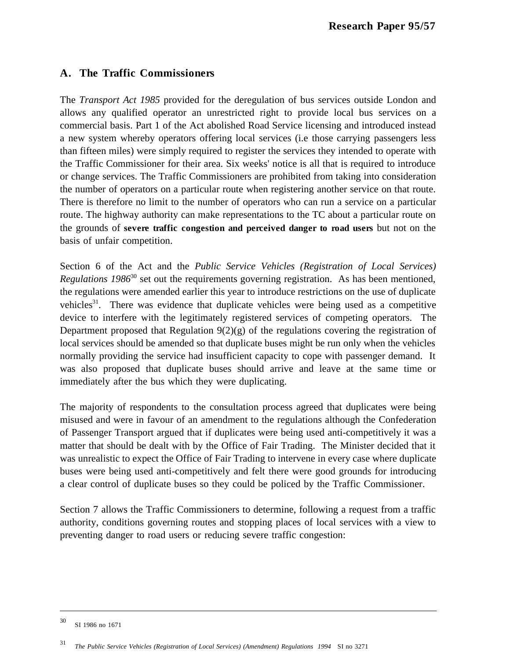## **A. The Traffic Commissioners**

The *Transport Act 1985* provided for the deregulation of bus services outside London and allows any qualified operator an unrestricted right to provide local bus services on a commercial basis. Part 1 of the Act abolished Road Service licensing and introduced instead a new system whereby operators offering local services (i.e those carrying passengers less than fifteen miles) were simply required to register the services they intended to operate with the Traffic Commissioner for their area. Six weeks' notice is all that is required to introduce or change services. The Traffic Commissioners are prohibited from taking into consideration the number of operators on a particular route when registering another service on that route. There is therefore no limit to the number of operators who can run a service on a particular route. The highway authority can make representations to the TC about a particular route on the grounds of **severe traffic congestion and perceived danger to road users** but not on the basis of unfair competition.

Section 6 of the Act and the *Public Service Vehicles (Registration of Local Services) Regulations 1986*<sup>30</sup> set out the requirements governing registration. As has been mentioned, the regulations were amended earlier this year to introduce restrictions on the use of duplicate vehicles $31$ . There was evidence that duplicate vehicles were being used as a competitive device to interfere with the legitimately registered services of competing operators. The Department proposed that Regulation  $9(2)(g)$  of the regulations covering the registration of local services should be amended so that duplicate buses might be run only when the vehicles normally providing the service had insufficient capacity to cope with passenger demand. It was also proposed that duplicate buses should arrive and leave at the same time or immediately after the bus which they were duplicating.

The majority of respondents to the consultation process agreed that duplicates were being misused and were in favour of an amendment to the regulations although the Confederation of Passenger Transport argued that if duplicates were being used anti-competitively it was a matter that should be dealt with by the Office of Fair Trading. The Minister decided that it was unrealistic to expect the Office of Fair Trading to intervene in every case where duplicate buses were being used anti-competitively and felt there were good grounds for introducing a clear control of duplicate buses so they could be policed by the Traffic Commissioner.

Section 7 allows the Traffic Commissioners to determine, following a request from a traffic authority, conditions governing routes and stopping places of local services with a view to preventing danger to road users or reducing severe traffic congestion:

<sup>30</sup> SI 1986 no 1671

 $\overline{\phantom{a}}$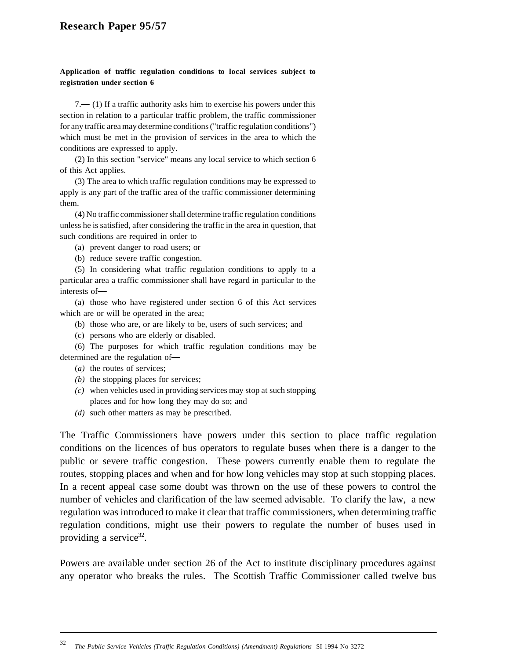#### **Application of traffic regulation conditions to local services subject to registration under section 6**

 $7 - (1)$  If a traffic authority asks him to exercise his powers under this section in relation to a particular traffic problem, the traffic commissioner for any traffic area may determine conditions ("traffic regulation conditions") which must be met in the provision of services in the area to which the conditions are expressed to apply.

(2) In this section "service" means any local service to which section 6 of this Act applies.

(3) The area to which traffic regulation conditions may be expressed to apply is any part of the traffic area of the traffic commissioner determining them.

(4) No traffic commissioner shall determine traffic regulation conditions unless he is satisfied, after considering the traffic in the area in question, that such conditions are required in order to

- (a) prevent danger to road users; or
- (b) reduce severe traffic congestion.

(5) In considering what traffic regulation conditions to apply to a particular area a traffic commissioner shall have regard in particular to the interests of

(a) those who have registered under section 6 of this Act services which are or will be operated in the area;

- (b) those who are, or are likely to be, users of such services; and
- (c) persons who are elderly or disabled.

(6) The purposes for which traffic regulation conditions may be determined are the regulation of

(*a)* the routes of services;

 $\overline{a}$ 

- *(b)* the stopping places for services;
- *(c)* when vehicles used in providing services may stop at such stopping places and for how long they may do so; and
- *(d)* such other matters as may be prescribed.

The Traffic Commissioners have powers under this section to place traffic regulation conditions on the licences of bus operators to regulate buses when there is a danger to the public or severe traffic congestion. These powers currently enable them to regulate the routes, stopping places and when and for how long vehicles may stop at such stopping places. In a recent appeal case some doubt was thrown on the use of these powers to control the number of vehicles and clarification of the law seemed advisable. To clarify the law, a new regulation was introduced to make it clear that traffic commissioners, when determining traffic regulation conditions, might use their powers to regulate the number of buses used in providing a service<sup>32</sup>.

Powers are available under section 26 of the Act to institute disciplinary procedures against any operator who breaks the rules. The Scottish Traffic Commissioner called twelve bus

<sup>32</sup> *The Public Service Vehicles (Traffic Regulation Conditions) (Amendment) Regulations* SI 1994 No 3272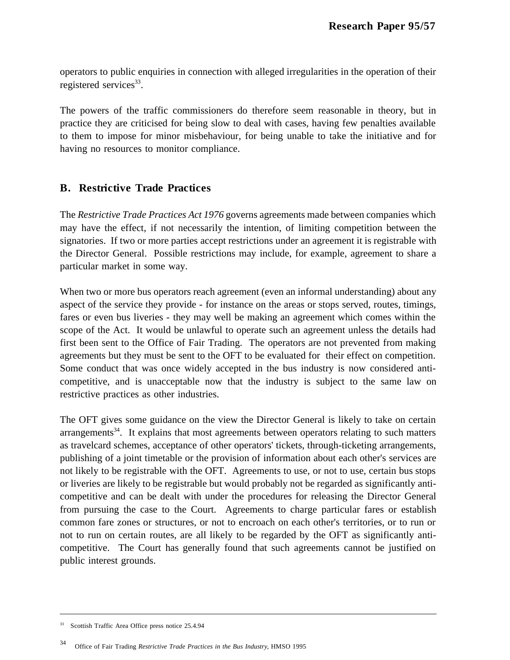operators to public enquiries in connection with alleged irregularities in the operation of their registered services $33$ .

The powers of the traffic commissioners do therefore seem reasonable in theory, but in practice they are criticised for being slow to deal with cases, having few penalties available to them to impose for minor misbehaviour, for being unable to take the initiative and for having no resources to monitor compliance.

## **B. Restrictive Trade Practices**

The *Restrictive Trade Practices Act 1976* governs agreements made between companies which may have the effect, if not necessarily the intention, of limiting competition between the signatories. If two or more parties accept restrictions under an agreement it is registrable with the Director General. Possible restrictions may include, for example, agreement to share a particular market in some way.

When two or more bus operators reach agreement (even an informal understanding) about any aspect of the service they provide - for instance on the areas or stops served, routes, timings, fares or even bus liveries - they may well be making an agreement which comes within the scope of the Act. It would be unlawful to operate such an agreement unless the details had first been sent to the Office of Fair Trading. The operators are not prevented from making agreements but they must be sent to the OFT to be evaluated for their effect on competition. Some conduct that was once widely accepted in the bus industry is now considered anticompetitive, and is unacceptable now that the industry is subject to the same law on restrictive practices as other industries.

The OFT gives some guidance on the view the Director General is likely to take on certain arrangements $34$ . It explains that most agreements between operators relating to such matters as travelcard schemes, acceptance of other operators' tickets, through-ticketing arrangements, publishing of a joint timetable or the provision of information about each other's services are not likely to be registrable with the OFT. Agreements to use, or not to use, certain bus stops or liveries are likely to be registrable but would probably not be regarded as significantly anticompetitive and can be dealt with under the procedures for releasing the Director General from pursuing the case to the Court. Agreements to charge particular fares or establish common fare zones or structures, or not to encroach on each other's territories, or to run or not to run on certain routes, are all likely to be regarded by the OFT as significantly anticompetitive. The Court has generally found that such agreements cannot be justified on public interest grounds.

<sup>33</sup> Scottish Traffic Area Office press notice 25.4.94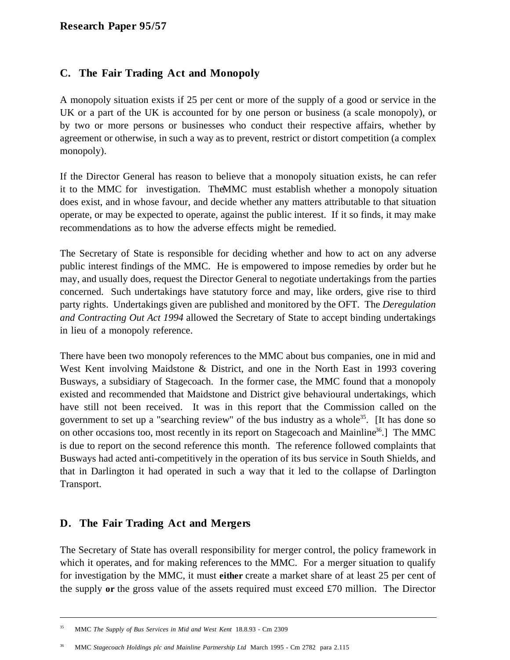## **C. The Fair Trading Act and Monopoly**

A monopoly situation exists if 25 per cent or more of the supply of a good or service in the UK or a part of the UK is accounted for by one person or business (a scale monopoly), or by two or more persons or businesses who conduct their respective affairs, whether by agreement or otherwise, in such a way as to prevent, restrict or distort competition (a complex monopoly).

If the Director General has reason to believe that a monopoly situation exists, he can refer it to the MMC for investigation. The MMC must establish whether a monopoly situation does exist, and in whose favour, and decide whether any matters attributable to that situation operate, or may be expected to operate, against the public interest. If it so finds, it may make recommendations as to how the adverse effects might be remedied.

The Secretary of State is responsible for deciding whether and how to act on any adverse public interest findings of the MMC. He is empowered to impose remedies by order but he may, and usually does, request the Director General to negotiate undertakings from the parties concerned. Such undertakings have statutory force and may, like orders, give rise to third party rights. Undertakings given are published and monitored by the OFT. The *Deregulation and Contracting Out Act 1994* allowed the Secretary of State to accept binding undertakings in lieu of a monopoly reference.

There have been two monopoly references to the MMC about bus companies, one in mid and West Kent involving Maidstone & District, and one in the North East in 1993 covering Busways, a subsidiary of Stagecoach. In the former case, the MMC found that a monopoly existed and recommended that Maidstone and District give behavioural undertakings, which have still not been received. It was in this report that the Commission called on the government to set up a "searching review" of the bus industry as a whole<sup>35</sup>. [It has done so on other occasions too, most recently in its report on Stagecoach and Mainline<sup>36</sup>.] The MMC is due to report on the second reference this month. The reference followed complaints that Busways had acted anti-competitively in the operation of its bus service in South Shields, and that in Darlington it had operated in such a way that it led to the collapse of Darlington Transport.

## **D. The Fair Trading Act and Mergers**

 $\overline{a}$ 

The Secretary of State has overall responsibility for merger control, the policy framework in which it operates, and for making references to the MMC. For a merger situation to qualify for investigation by the MMC, it must **either** create a market share of at least 25 per cent of the supply **or** the gross value of the assets required must exceed £70 million. The Director

<sup>35</sup> MMC *The Supply of Bus Services in Mid and West Kent* 18.8.93 - Cm 2309

<sup>36</sup> MMC *Stagecoach Holdings plc and Mainline Partnership Ltd* March 1995 - Cm 2782 para 2.115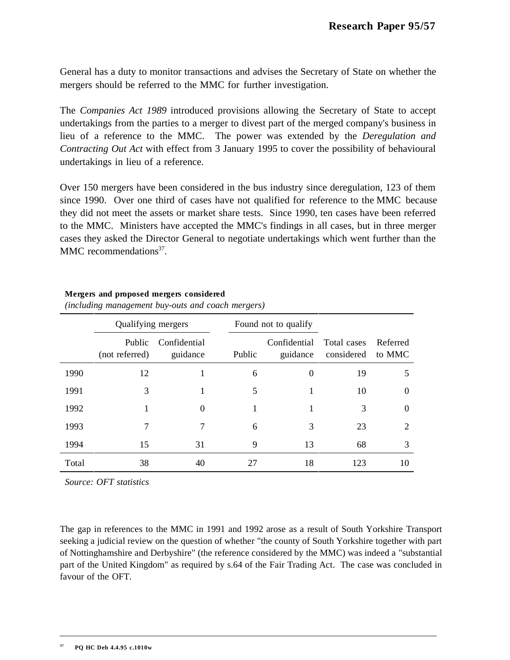General has a duty to monitor transactions and advises the Secretary of State on whether the mergers should be referred to the MMC for further investigation.

The *Companies Act 1989* introduced provisions allowing the Secretary of State to accept undertakings from the parties to a merger to divest part of the merged company's business in lieu of a reference to the MMC. The power was extended by the *Deregulation and Contracting Out Act* with effect from 3 January 1995 to cover the possibility of behavioural undertakings in lieu of a reference.

Over 150 mergers have been considered in the bus industry since deregulation, 123 of them since 1990. Over one third of cases have not qualified for reference to the MMC because they did not meet the assets or market share tests. Since 1990, ten cases have been referred to the MMC. Ministers have accepted the MMC's findings in all cases, but in three merger cases they asked the Director General to negotiate undertakings which went further than the MMC recommendations<sup>37</sup>

### **Mergers and proposed mergers considered**

|       | Qualifying mergers       |                          |        | Found not to qualify     |                           |                    |
|-------|--------------------------|--------------------------|--------|--------------------------|---------------------------|--------------------|
|       | Public<br>(not referred) | Confidential<br>guidance | Public | Confidential<br>guidance | Total cases<br>considered | Referred<br>to MMC |
| 1990  | 12                       |                          | 6      | $\Omega$                 | 19                        | 5                  |
| 1991  | 3                        | н                        | 5      | 1                        | 10                        | $\Omega$           |
| 1992  | 1                        | $\theta$                 |        |                          | 3                         | $\Omega$           |
| 1993  | 7                        | 7                        | 6      | 3                        | 23                        | 2                  |
| 1994  | 15                       | 31                       | 9      | 13                       | 68                        | 3                  |
| Total | 38                       | 40                       | 27     | 18                       | 123                       | 10                 |

*(including management buy-outs and coach mergers)*

*Source: OFT statistics*

The gap in references to the MMC in 1991 and 1992 arose as a result of South Yorkshire Transport seeking a judicial review on the question of whether "the county of South Yorkshire together with part of Nottinghamshire and Derbyshire" (the reference considered by the MMC) was indeed a "substantial part of the United Kingdom" as required by s.64 of the Fair Trading Act. The case was concluded in favour of the OFT.

 $\overline{\phantom{a}}$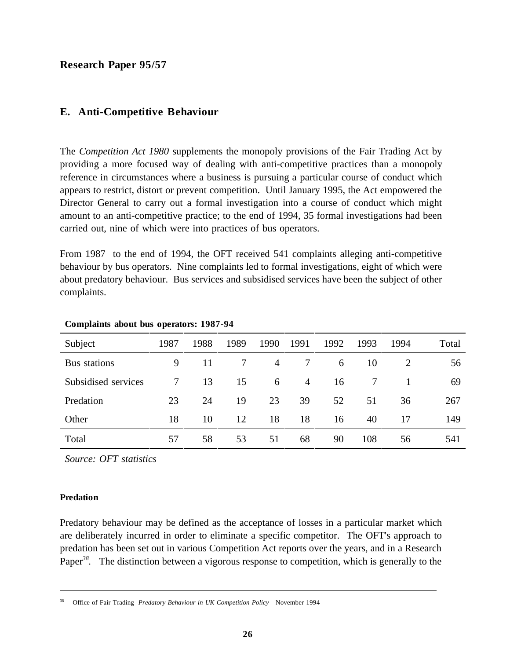## **E. Anti-Competitive Behaviour**

The *Competition Act 1980* supplements the monopoly provisions of the Fair Trading Act by providing a more focused way of dealing with anti-competitive practices than a monopoly reference in circumstances where a business is pursuing a particular course of conduct which appears to restrict, distort or prevent competition. Until January 1995, the Act empowered the Director General to carry out a formal investigation into a course of conduct which might amount to an anti-competitive practice; to the end of 1994, 35 formal investigations had been carried out, nine of which were into practices of bus operators.

From 1987 to the end of 1994, the OFT received 541 complaints alleging anti-competitive behaviour by bus operators. Nine complaints led to formal investigations, eight of which were about predatory behaviour. Bus services and subsidised services have been the subject of other complaints.

| Subject             | 1987 | 1988 | 1989 | 1990 | 1991           | 1992 | 1993 | 1994 | Total |
|---------------------|------|------|------|------|----------------|------|------|------|-------|
| Bus stations        | 9    | 11   |      | 4    |                | 6    | 10   |      | 56    |
| Subsidised services | 7    | 13   | 15   | 6    | $\overline{4}$ | 16   |      |      | 69    |
| Predation           | 23   | 24   | 19   | 23   | 39             | 52   | 51   | 36   | 267   |
| Other               | 18   | 10   | 12   | 18   | 18             | 16   | 40   |      | 149   |
| Total               | 57   | 58   | 53   | 51   | 68             | 90   | 108  | 56   | 541   |

#### **Complaints about bus operators: 1987-94**

*Source: OFT statistics*

#### **Predation**

 $\overline{a}$ 

Predatory behaviour may be defined as the acceptance of losses in a particular market which are deliberately incurred in order to eliminate a specific competitor. The OFT's approach to predation has been set out in various Competition Act reports over the years, and in a Research Paper<sup>38</sup>. The distinction between a vigorous response to competition, which is generally to the

<sup>38</sup> Office of Fair Trading *Predatory Behaviour in UK Competition Policy* November 1994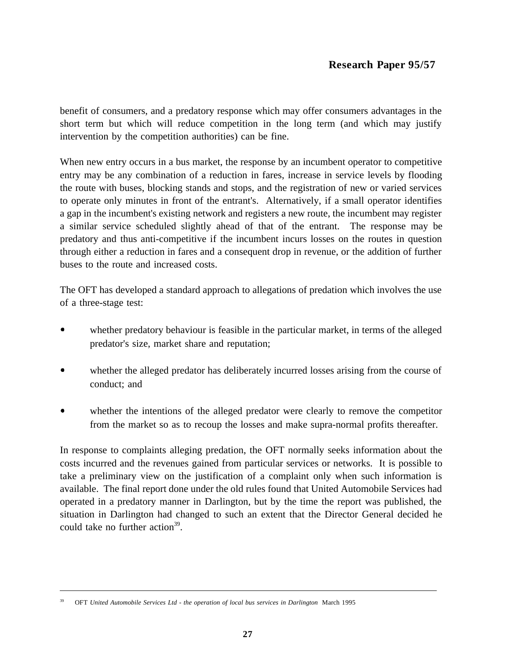benefit of consumers, and a predatory response which may offer consumers advantages in the short term but which will reduce competition in the long term (and which may justify intervention by the competition authorities) can be fine.

When new entry occurs in a bus market, the response by an incumbent operator to competitive entry may be any combination of a reduction in fares, increase in service levels by flooding the route with buses, blocking stands and stops, and the registration of new or varied services to operate only minutes in front of the entrant's. Alternatively, if a small operator identifies a gap in the incumbent's existing network and registers a new route, the incumbent may register a similar service scheduled slightly ahead of that of the entrant. The response may be predatory and thus anti-competitive if the incumbent incurs losses on the routes in question through either a reduction in fares and a consequent drop in revenue, or the addition of further buses to the route and increased costs.

The OFT has developed a standard approach to allegations of predation which involves the use of a three-stage test:

- whether predatory behaviour is feasible in the particular market, in terms of the alleged predator's size, market share and reputation;
- $\bullet$ whether the alleged predator has deliberately incurred losses arising from the course of conduct; and
- whether the intentions of the alleged predator were clearly to remove the competitor from the market so as to recoup the losses and make supra-normal profits thereafter.

In response to complaints alleging predation, the OFT normally seeks information about the costs incurred and the revenues gained from particular services or networks. It is possible to take a preliminary view on the justification of a complaint only when such information is available. The final report done under the old rules found that United Automobile Services had operated in a predatory manner in Darlington, but by the time the report was published, the situation in Darlington had changed to such an extent that the Director General decided he could take no further action<sup>39</sup>.

<sup>39</sup> OFT *United Automobile Services Ltd - the operation of local bus services in Darlington* March 1995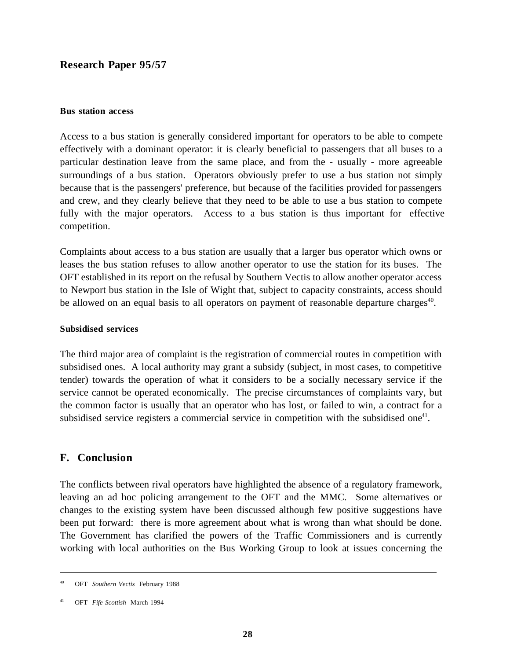#### **Bus station access**

Access to a bus station is generally considered important for operators to be able to compete effectively with a dominant operator: it is clearly beneficial to passengers that all buses to a particular destination leave from the same place, and from the - usually - more agreeable surroundings of a bus station. Operators obviously prefer to use a bus station not simply because that is the passengers' preference, but because of the facilities provided for passengers and crew, and they clearly believe that they need to be able to use a bus station to compete fully with the major operators. Access to a bus station is thus important for effective competition.

Complaints about access to a bus station are usually that a larger bus operator which owns or leases the bus station refuses to allow another operator to use the station for its buses. The OFT established in its report on the refusal by Southern Vectis to allow another operator access to Newport bus station in the Isle of Wight that, subject to capacity constraints, access should be allowed on an equal basis to all operators on payment of reasonable departure charges<sup>40</sup>.

#### **Subsidised services**

The third major area of complaint is the registration of commercial routes in competition with subsidised ones. A local authority may grant a subsidy (subject, in most cases, to competitive tender) towards the operation of what it considers to be a socially necessary service if the service cannot be operated economically. The precise circumstances of complaints vary, but the common factor is usually that an operator who has lost, or failed to win, a contract for a subsidised service registers a commercial service in competition with the subsidised one<sup>41</sup>.

### **F. Conclusion**

The conflicts between rival operators have highlighted the absence of a regulatory framework, leaving an ad hoc policing arrangement to the OFT and the MMC. Some alternatives or changes to the existing system have been discussed although few positive suggestions have been put forward: there is more agreement about what is wrong than what should be done. The Government has clarified the powers of the Traffic Commissioners and is currently working with local authorities on the Bus Working Group to look at issues concerning the

<sup>40</sup> OFT *Southern Vectis* February 1988

<sup>41</sup> OFT *Fife Scottish* March 1994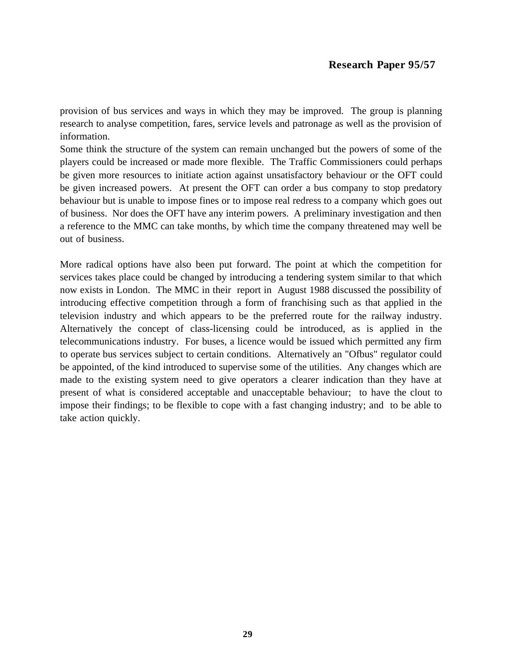provision of bus services and ways in which they may be improved. The group is planning research to analyse competition, fares, service levels and patronage as well as the provision of information.

Some think the structure of the system can remain unchanged but the powers of some of the players could be increased or made more flexible. The Traffic Commissioners could perhaps be given more resources to initiate action against unsatisfactory behaviour or the OFT could be given increased powers. At present the OFT can order a bus company to stop predatory behaviour but is unable to impose fines or to impose real redress to a company which goes out of business. Nor does the OFT have any interim powers. A preliminary investigation and then a reference to the MMC can take months, by which time the company threatened may well be out of business.

More radical options have also been put forward. The point at which the competition for services takes place could be changed by introducing a tendering system similar to that which now exists in London. The MMC in their report in August 1988 discussed the possibility of introducing effective competition through a form of franchising such as that applied in the television industry and which appears to be the preferred route for the railway industry. Alternatively the concept of class-licensing could be introduced, as is applied in the telecommunications industry. For buses, a licence would be issued which permitted any firm to operate bus services subject to certain conditions. Alternatively an "Ofbus" regulator could be appointed, of the kind introduced to supervise some of the utilities. Any changes which are made to the existing system need to give operators a clearer indication than they have at present of what is considered acceptable and unacceptable behaviour; to have the clout to impose their findings; to be flexible to cope with a fast changing industry; and to be able to take action quickly.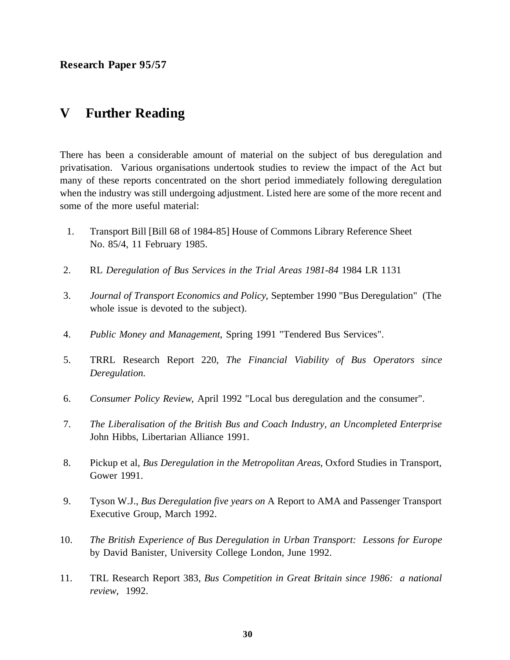## **V Further Reading**

There has been a considerable amount of material on the subject of bus deregulation and privatisation. Various organisations undertook studies to review the impact of the Act but many of these reports concentrated on the short period immediately following deregulation when the industry was still undergoing adjustment. Listed here are some of the more recent and some of the more useful material:

- 1. Transport Bill [Bill 68 of 1984-85] House of Commons Library Reference Sheet No. 85/4, 11 February 1985.
- 2. RL *Deregulation of Bus Services in the Trial Areas 1981-84* 1984 LR 1131
- 3. *Journal of Transport Economics and Policy*, September 1990 "Bus Deregulation" (The whole issue is devoted to the subject).
- 4. *Public Money and Management*, Spring 1991 "Tendered Bus Services".
- 5. TRRL Research Report 220, *The Financial Viability of Bus Operators since Deregulation*.
- 6. *Consumer Policy Review*, April 1992 "Local bus deregulation and the consumer".
- 7. *The Liberalisation of the British Bus and Coach Industry, an Uncompleted Enterprise* John Hibbs, Libertarian Alliance 1991.
- 8. Pickup et al, *Bus Deregulation in the Metropolitan Areas*, Oxford Studies in Transport, Gower 1991.
- 9. Tyson W.J., *Bus Deregulation five years on* A Report to AMA and Passenger Transport Executive Group, March 1992.
- 10. *The British Experience of Bus Deregulation in Urban Transport: Lessons for Europe* by David Banister, University College London, June 1992.
- 11. TRL Research Report 383, *Bus Competition in Great Britain since 1986: a national review*, 1992.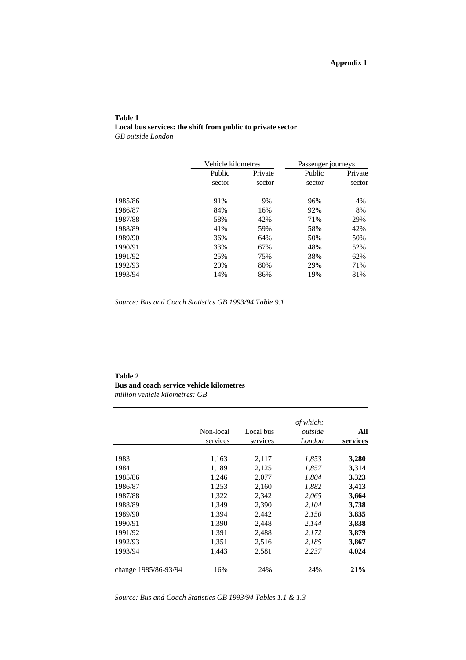#### **Table 1 Local bus services: the shift from public to private sector** *GB outside London*

|         | Vehicle kilometres |         | Passenger journeys |         |
|---------|--------------------|---------|--------------------|---------|
|         | Public             | Private | Public             | Private |
|         | sector             | sector  | sector             | sector  |
| 1985/86 | 91%                | 9%      | 96%                | 4%      |
| 1986/87 | 84%                | 16%     | 92%                | 8%      |
| 1987/88 | 58%                | 42%     | 71%                | 29%     |
| 1988/89 | 41%                | 59%     | 58%                | 42%     |
| 1989/90 | 36%                | 64%     | 50%                | 50%     |
| 1990/91 | 33%                | 67%     | 48%                | 52%     |
| 1991/92 | 25%                | 75%     | 38%                | 62%     |
| 1992/93 | 20%                | 80%     | 29%                | 71%     |
| 1993/94 | 14%                | 86%     | 19%                | 81%     |

*Source: Bus and Coach Statistics GB 1993/94 Table 9.1*

## **Table 2 Bus and coach service vehicle kilometres**

*million vehicle kilometres: GB*

|                      | Non-local<br>services | Local bus<br>services | of which:<br>outside<br>London | All<br>services |
|----------------------|-----------------------|-----------------------|--------------------------------|-----------------|
| 1983                 | 1,163                 | 2,117                 | 1,853                          | 3,280           |
| 1984                 | 1,189                 | 2,125                 | 1,857                          | 3,314           |
| 1985/86              | 1,246                 | 2,077                 | 1,804                          | 3,323           |
| 1986/87              | 1,253                 | 2,160                 | 1,882                          | 3,413           |
| 1987/88              | 1,322                 | 2,342                 | 2,065                          | 3,664           |
| 1988/89              | 1,349                 | 2,390                 | 2,104                          | 3,738           |
| 1989/90              | 1,394                 | 2,442                 | 2,150                          | 3,835           |
| 1990/91              | 1,390                 | 2,448                 | 2,144                          | 3,838           |
| 1991/92              | 1,391                 | 2,488                 | 2,172                          | 3,879           |
| 1992/93              | 1,351                 | 2,516                 | 2,185                          | 3,867           |
| 1993/94              | 1,443                 | 2,581                 | 2,237                          | 4,024           |
| change 1985/86-93/94 | 16%                   | 24%                   | 24%                            | 21%             |

*Source: Bus and Coach Statistics GB 1993/94 Tables 1.1 & 1.3*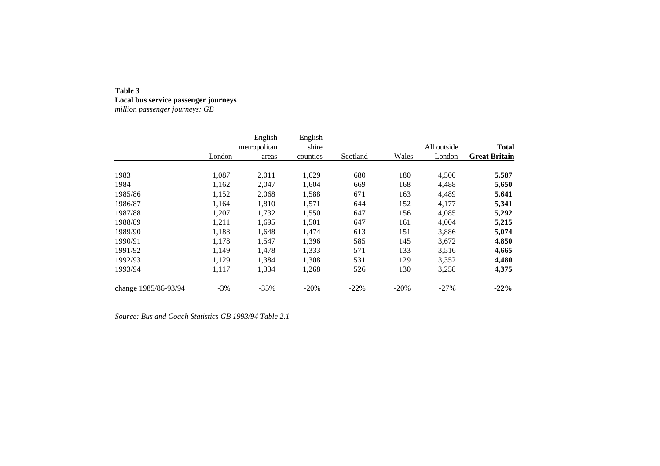## **Table 3Local bus service passenger journeys**

*million passenger journeys: GB*

|                      |        | English      | English  |          |        |             |                      |
|----------------------|--------|--------------|----------|----------|--------|-------------|----------------------|
|                      |        | metropolitan | shire    |          |        | All outside | <b>Total</b>         |
|                      | London | areas        | counties | Scotland | Wales  | London      | <b>Great Britain</b> |
| 1983                 | 1,087  | 2,011        | 1,629    | 680      | 180    | 4,500       | 5,587                |
| 1984                 | 1,162  | 2,047        | 1,604    | 669      | 168    | 4,488       | 5,650                |
| 1985/86              | 1,152  | 2,068        | 1,588    | 671      | 163    | 4,489       | 5,641                |
| 1986/87              | 1.164  | 1,810        | 1,571    | 644      | 152    | 4,177       | 5,341                |
| 1987/88              | 1,207  | 1,732        | 1,550    | 647      | 156    | 4,085       | 5,292                |
| 1988/89              | 1,211  | 1,695        | 1,501    | 647      | 161    | 4,004       | 5,215                |
| 1989/90              | 1,188  | 1,648        | 1,474    | 613      | 151    | 3,886       | 5,074                |
| 1990/91              | 1,178  | 1,547        | 1,396    | 585      | 145    | 3,672       | 4,850                |
| 1991/92              | 1,149  | 1,478        | 1,333    | 571      | 133    | 3,516       | 4,665                |
| 1992/93              | 1.129  | 1,384        | 1,308    | 531      | 129    | 3,352       | 4,480                |
| 1993/94              | 1,117  | 1,334        | 1,268    | 526      | 130    | 3,258       | 4,375                |
| change 1985/86-93/94 | $-3\%$ | $-35%$       | $-20%$   | $-22\%$  | $-20%$ | $-27\%$     | $-22%$               |

*Source: Bus and Coach Statistics GB 1993/94 Table 2.1*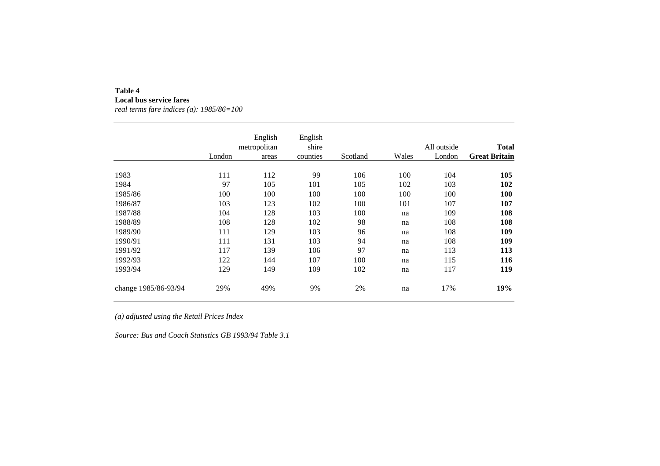## **Table 4**

**Local bus service fares** *real terms fare indices (a): 1985/86=100*

|                      | London | English<br>metropolitan<br>areas | English<br>shire<br>counties | Scotland | Wales | All outside<br>London | <b>Total</b><br><b>Great Britain</b> |
|----------------------|--------|----------------------------------|------------------------------|----------|-------|-----------------------|--------------------------------------|
| 1983                 | 111    | 112                              | 99                           | 106      | 100   | 104                   | 105                                  |
| 1984                 | 97     | 105                              | 101                          | 105      | 102   | 103                   | 102                                  |
| 1985/86              | 100    | 100                              | 100                          | 100      | 100   | 100                   | 100                                  |
| 1986/87              | 103    | 123                              | 102                          | 100      | 101   | 107                   | 107                                  |
| 1987/88              | 104    | 128                              | 103                          | 100      | na    | 109                   | 108                                  |
| 1988/89              | 108    | 128                              | 102                          | 98       | na    | 108                   | 108                                  |
| 1989/90              | 111    | 129                              | 103                          | 96       | na    | 108                   | 109                                  |
| 1990/91              | 111    | 131                              | 103                          | 94       | na    | 108                   | 109                                  |
| 1991/92              | 117    | 139                              | 106                          | 97       | na    | 113                   | 113                                  |
| 1992/93              | 122    | 144                              | 107                          | 100      | na    | 115                   | 116                                  |
| 1993/94              | 129    | 149                              | 109                          | 102      | na    | 117                   | 119                                  |
| change 1985/86-93/94 | 29%    | 49%                              | 9%                           | 2%       | na    | 17%                   | 19%                                  |

*(a) adjusted using the Retail Prices Index*

*Source: Bus and Coach Statistics GB 1993/94 Table 3.1*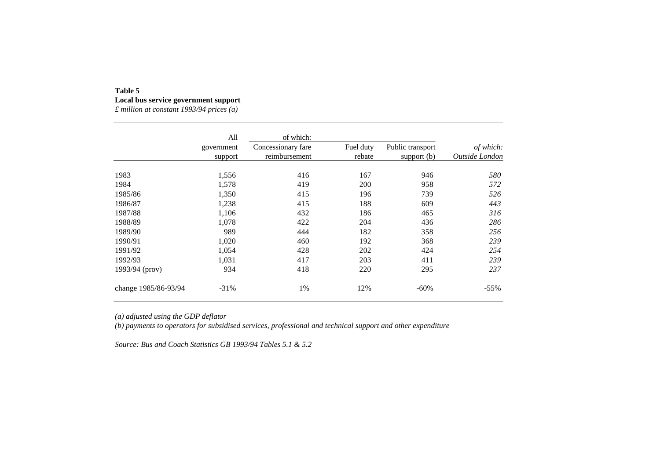### **Table 5 Local bus service government support**

*£ million at constant 1993/94 prices (a)*

|                      | All<br>government<br>support | of which:<br>Concessionary fare<br>reimbursement | Fuel duty<br>rebate | Public transport<br>support $(b)$ | of which:<br>Outside London |
|----------------------|------------------------------|--------------------------------------------------|---------------------|-----------------------------------|-----------------------------|
| 1983                 | 1,556                        | 416                                              | 167                 | 946                               | 580                         |
| 1984                 | 1,578                        | 419                                              | 200                 | 958                               | 572                         |
| 1985/86              | 1,350                        | 415                                              | 196                 | 739                               | 526                         |
| 1986/87              | 1,238                        | 415                                              | 188                 | 609                               | 443                         |
| 1987/88              | 1,106                        | 432                                              | 186                 | 465                               | 316                         |
| 1988/89              | 1,078                        | 422                                              | 204                 | 436                               | 286                         |
| 1989/90              | 989                          | 444                                              | 182                 | 358                               | 256                         |
| 1990/91              | 1,020                        | 460                                              | 192                 | 368                               | 239                         |
| 1991/92              | 1,054                        | 428                                              | 202                 | 424                               | 254                         |
| 1992/93              | 1,031                        | 417                                              | 203                 | 411                               | 239                         |
| 1993/94 (prov)       | 934                          | 418                                              | 220                 | 295                               | 237                         |
| change 1985/86-93/94 | $-31%$                       | 1%                                               | 12%                 | -60%                              | $-55%$                      |

*(a) adjusted using the GDP deflator*

*(b) payments to operators for subsidised services, professional and technical support and other expenditure*

*Source: Bus and Coach Statistics GB 1993/94 Tables 5.1 & 5.2*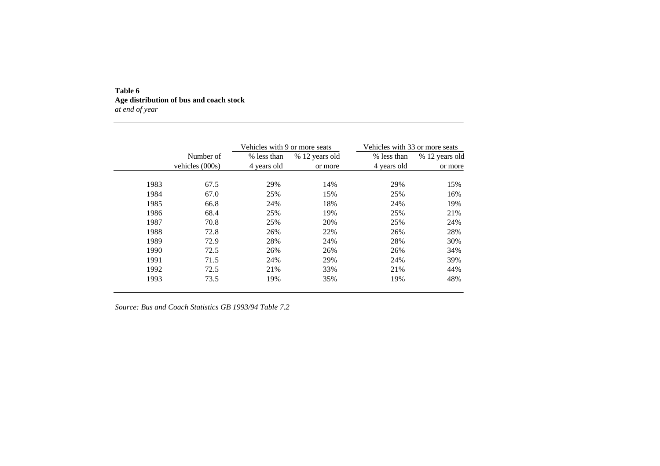#### **Table 6 Age distribution of bus and coach stock** *at end of year*

|      |                   | Vehicles with 9 or more seats |                | Vehicles with 33 or more seats |                |
|------|-------------------|-------------------------------|----------------|--------------------------------|----------------|
|      | Number of         | % less than                   | % 12 years old | % less than                    | % 12 years old |
|      | vehicles $(000s)$ | 4 years old                   | or more        | 4 years old                    | or more        |
| 1983 | 67.5              | 29%                           | 14%            | 29%                            | 15%            |
| 1984 | 67.0              | 25%                           | 15%            | 25%                            | 16%            |
| 1985 | 66.8              | 24%                           | 18%            | 24%                            | 19%            |
| 1986 | 68.4              | 25%                           | 19%            | 25%                            | 21%            |
| 1987 | 70.8              | 25%                           | 20%            | 25%                            | 24%            |
| 1988 | 72.8              | 26%                           | 22%            | 26%                            | 28%            |
| 1989 | 72.9              | 28%                           | 24%            | 28%                            | 30%            |
| 1990 | 72.5              | 26%                           | 26%            | 26%                            | 34%            |
| 1991 | 71.5              | 24%                           | 29%            | 24%                            | 39%            |
| 1992 | 72.5              | 21%                           | 33%            | 21%                            | 44%            |
| 1993 | 73.5              | 19%                           | 35%            | 19%                            | 48%            |

*Source: Bus and Coach Statistics GB 1993/94 Table 7.2*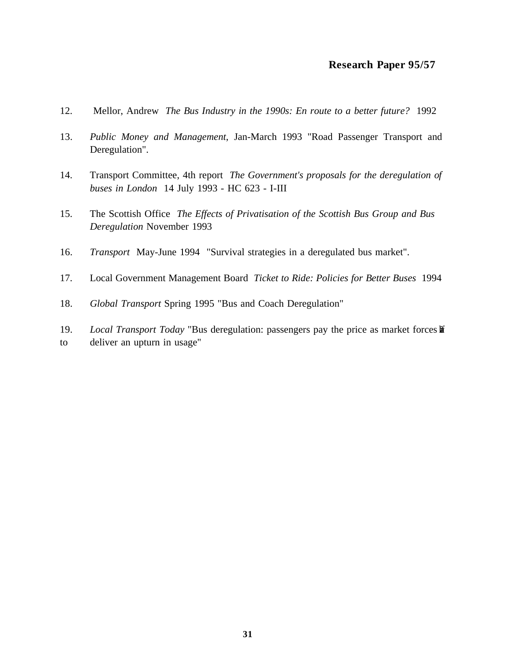- 12. Mellor, Andrew *The Bus Industry in the 1990s: En route to a better future?* 1992
- 13. *Public Money and Management*, Jan-March 1993 "Road Passenger Transport and Deregulation".
- 14. Transport Committee, 4th report *The Government's proposals for the deregulation of buses in London* 14 July 1993 - HC 623 - I-III
- 15. The Scottish Office *The Effects of Privatisation of the Scottish Bus Group and Bus Deregulation* November 1993
- 16. *Transport* May-June 1994 "Survival strategies in a deregulated bus market".
- 17. Local Government Management Board *Ticket to Ride: Policies for Better Buses* 1994
- 18. *Global Transport* Spring 1995 "Bus and Coach Deregulation"
- 19. *Local Transport Today* "Bus deregulation: passengers pay the price as market forces **li** to deliver an upturn in usage"